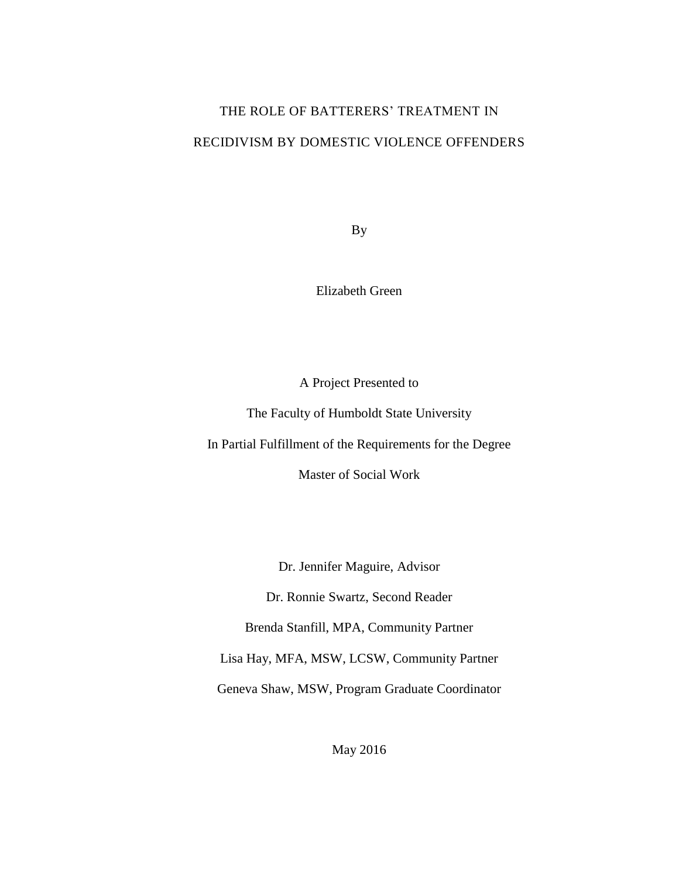# THE ROLE OF BATTERERS' TREATMENT IN RECIDIVISM BY DOMESTIC VIOLENCE OFFENDERS

By

Elizabeth Green

A Project Presented to

The Faculty of Humboldt State University

In Partial Fulfillment of the Requirements for the Degree

Master of Social Work

Dr. Jennifer Maguire, Advisor

Dr. Ronnie Swartz, Second Reader

Brenda Stanfill, MPA, Community Partner

Lisa Hay, MFA, MSW, LCSW, Community Partner

Geneva Shaw, MSW, Program Graduate Coordinator

May 2016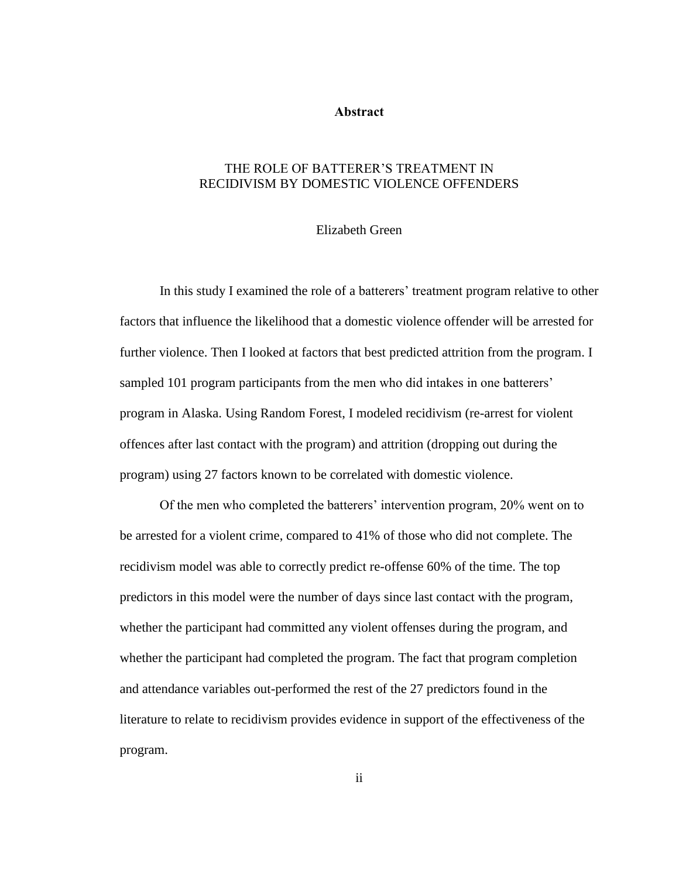#### **Abstract**

# <span id="page-1-0"></span>THE ROLE OF BATTERER'S TREATMENT IN RECIDIVISM BY DOMESTIC VIOLENCE OFFENDERS

#### Elizabeth Green

In this study I examined the role of a batterers' treatment program relative to other factors that influence the likelihood that a domestic violence offender will be arrested for further violence. Then I looked at factors that best predicted attrition from the program. I sampled 101 program participants from the men who did intakes in one batterers' program in Alaska. Using Random Forest, I modeled recidivism (re-arrest for violent offences after last contact with the program) and attrition (dropping out during the program) using 27 factors known to be correlated with domestic violence.

Of the men who completed the batterers' intervention program, 20% went on to be arrested for a violent crime, compared to 41% of those who did not complete. The recidivism model was able to correctly predict re-offense 60% of the time. The top predictors in this model were the number of days since last contact with the program, whether the participant had committed any violent offenses during the program, and whether the participant had completed the program. The fact that program completion and attendance variables out-performed the rest of the 27 predictors found in the literature to relate to recidivism provides evidence in support of the effectiveness of the program.

ii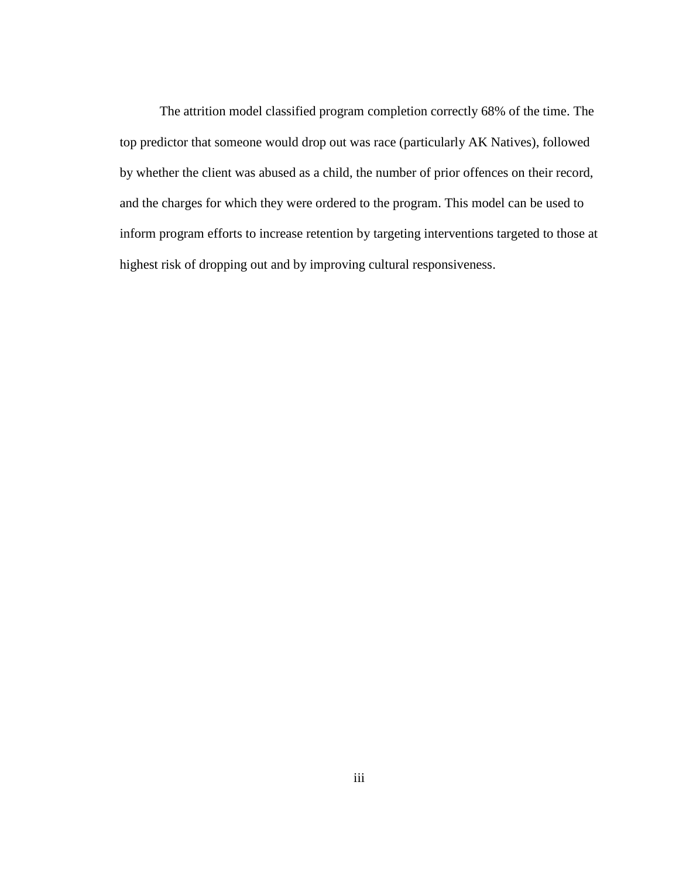The attrition model classified program completion correctly 68% of the time. The top predictor that someone would drop out was race (particularly AK Natives), followed by whether the client was abused as a child, the number of prior offences on their record, and the charges for which they were ordered to the program. This model can be used to inform program efforts to increase retention by targeting interventions targeted to those at highest risk of dropping out and by improving cultural responsiveness.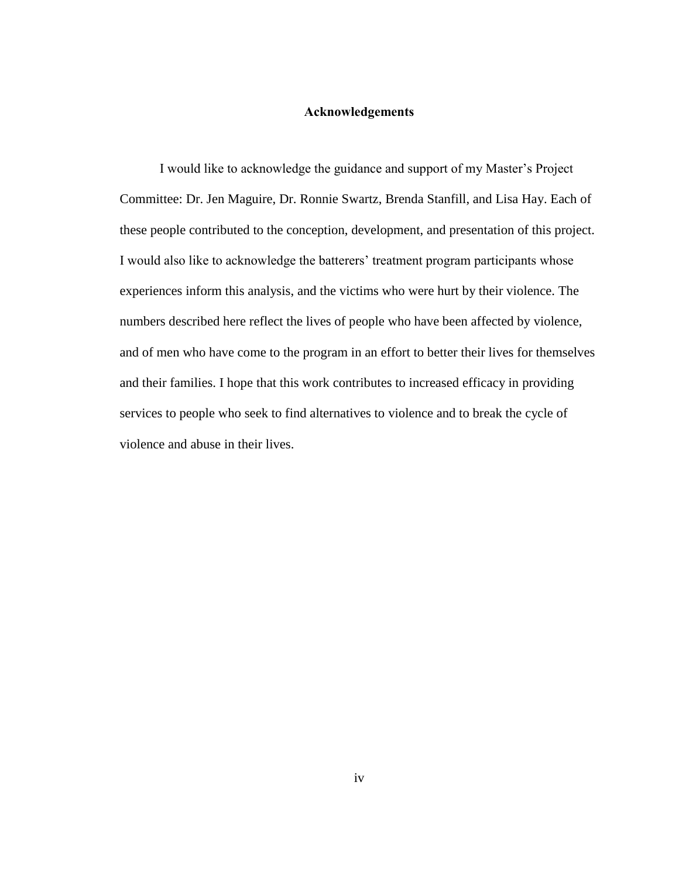#### **Acknowledgements**

<span id="page-3-0"></span>I would like to acknowledge the guidance and support of my Master's Project Committee: Dr. Jen Maguire, Dr. Ronnie Swartz, Brenda Stanfill, and Lisa Hay. Each of these people contributed to the conception, development, and presentation of this project. I would also like to acknowledge the batterers' treatment program participants whose experiences inform this analysis, and the victims who were hurt by their violence. The numbers described here reflect the lives of people who have been affected by violence, and of men who have come to the program in an effort to better their lives for themselves and their families. I hope that this work contributes to increased efficacy in providing services to people who seek to find alternatives to violence and to break the cycle of violence and abuse in their lives.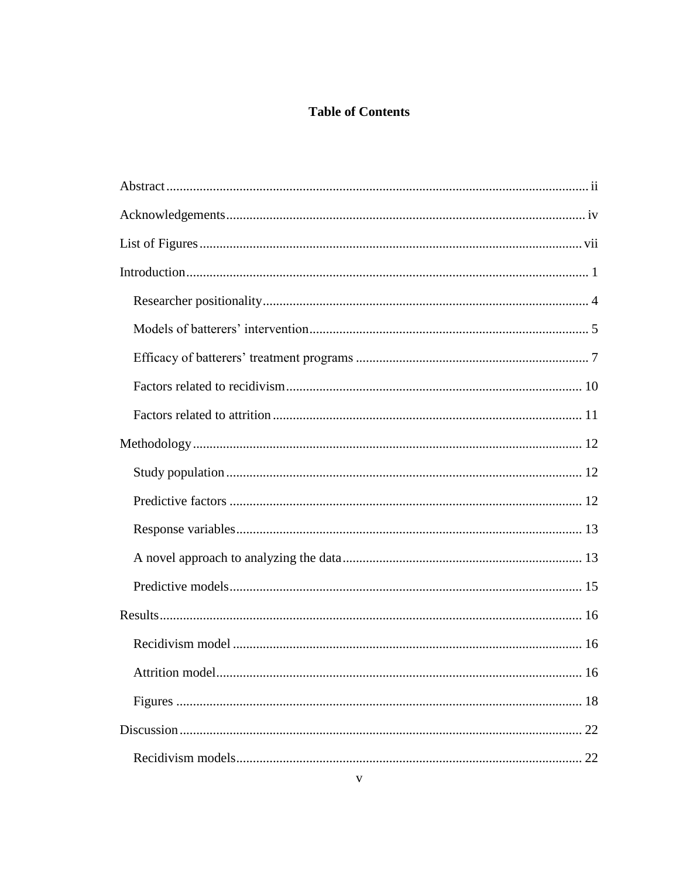# **Table of Contents**

| 16 |
|----|
|    |
| 22 |
| 22 |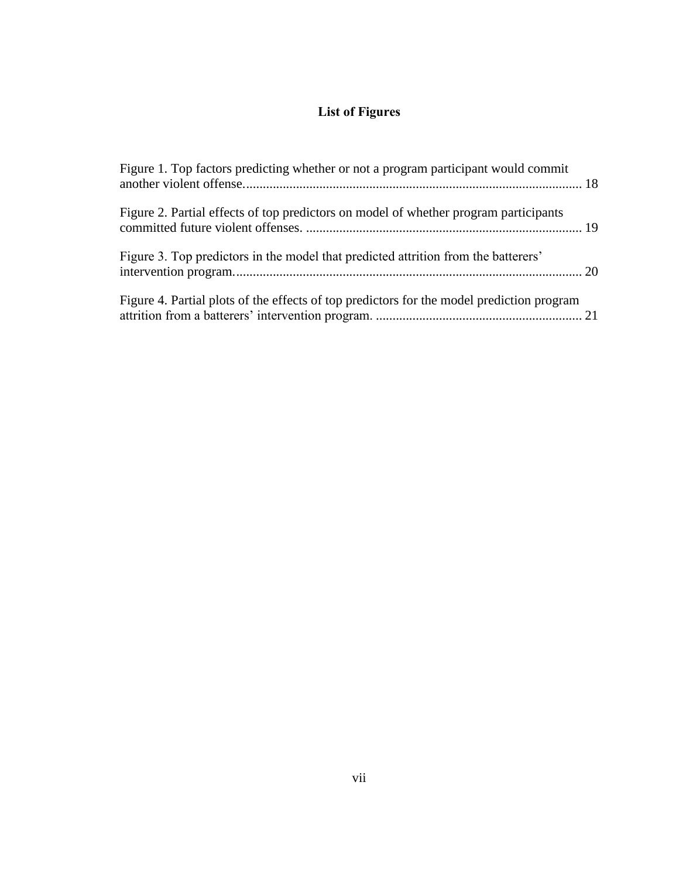# **List of Figures**

<span id="page-6-0"></span>

| Figure 1. Top factors predicting whether or not a program participant would commit        |  |
|-------------------------------------------------------------------------------------------|--|
| Figure 2. Partial effects of top predictors on model of whether program participants      |  |
| Figure 3. Top predictors in the model that predicted attrition from the batterers'        |  |
| Figure 4. Partial plots of the effects of top predictors for the model prediction program |  |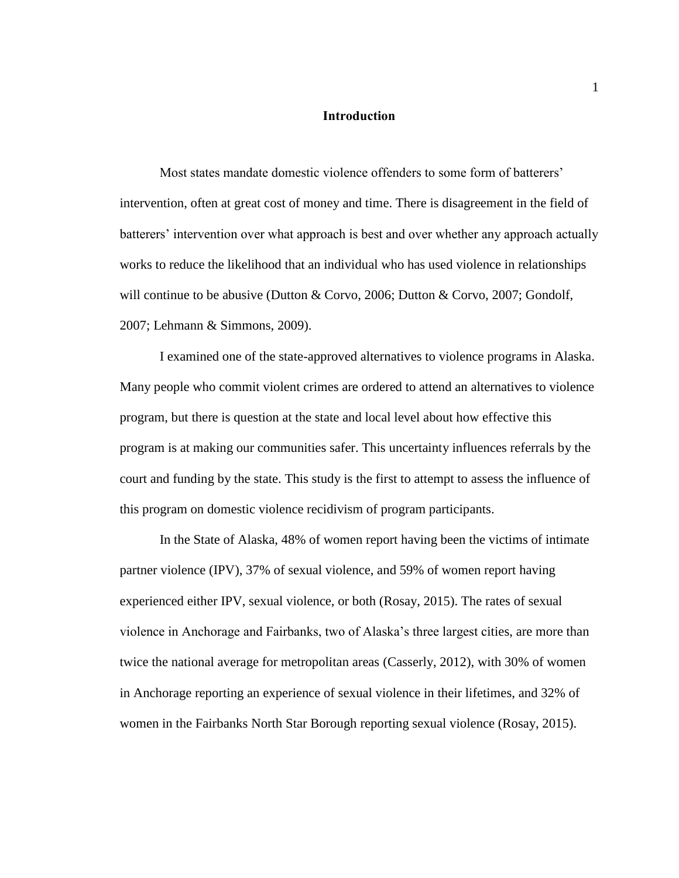## **Introduction**

<span id="page-7-0"></span>Most states mandate domestic violence offenders to some form of batterers' intervention, often at great cost of money and time. There is disagreement in the field of batterers' intervention over what approach is best and over whether any approach actually works to reduce the likelihood that an individual who has used violence in relationships will continue to be abusive (Dutton & Corvo, 2006; Dutton & Corvo, 2007; Gondolf, 2007; Lehmann & Simmons, 2009).

I examined one of the state-approved alternatives to violence programs in Alaska. Many people who commit violent crimes are ordered to attend an alternatives to violence program, but there is question at the state and local level about how effective this program is at making our communities safer. This uncertainty influences referrals by the court and funding by the state. This study is the first to attempt to assess the influence of this program on domestic violence recidivism of program participants.

In the State of Alaska, 48% of women report having been the victims of intimate partner violence (IPV), 37% of sexual violence, and 59% of women report having experienced either IPV, sexual violence, or both (Rosay, 2015). The rates of sexual violence in Anchorage and Fairbanks, two of Alaska's three largest cities, are more than twice the national average for metropolitan areas (Casserly, 2012), with 30% of women in Anchorage reporting an experience of sexual violence in their lifetimes, and 32% of women in the Fairbanks North Star Borough reporting sexual violence (Rosay, 2015).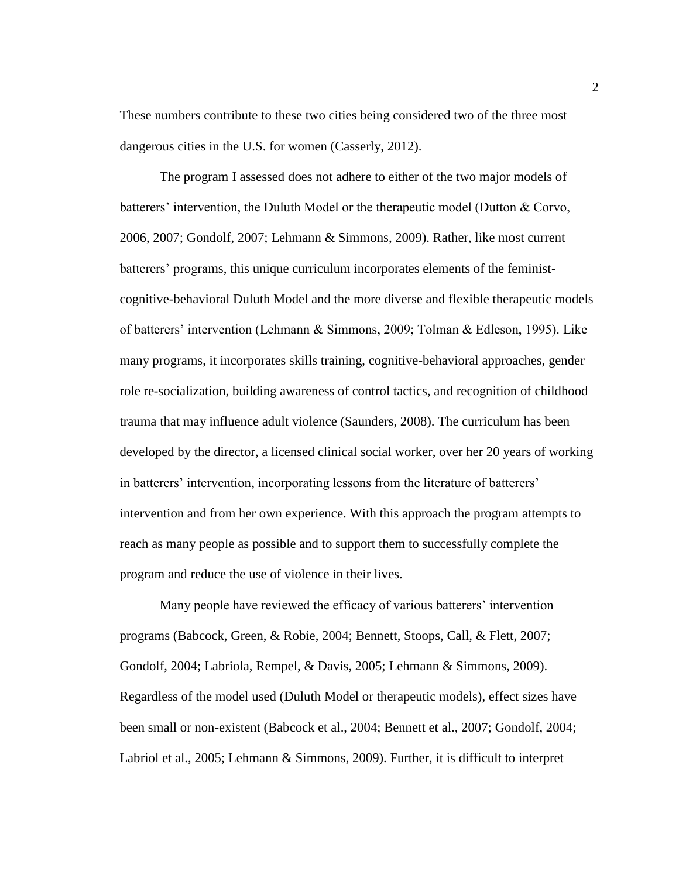These numbers contribute to these two cities being considered two of the three most dangerous cities in the U.S. for women (Casserly, 2012).

The program I assessed does not adhere to either of the two major models of batterers' intervention, the Duluth Model or the therapeutic model (Dutton & Corvo, 2006, 2007; Gondolf, 2007; Lehmann & Simmons, 2009). Rather, like most current batterers' programs, this unique curriculum incorporates elements of the feministcognitive-behavioral Duluth Model and the more diverse and flexible therapeutic models of batterers' intervention (Lehmann & Simmons, 2009; Tolman & Edleson, 1995). Like many programs, it incorporates skills training, cognitive-behavioral approaches, gender role re-socialization, building awareness of control tactics, and recognition of childhood trauma that may influence adult violence (Saunders, 2008). The curriculum has been developed by the director, a licensed clinical social worker, over her 20 years of working in batterers' intervention, incorporating lessons from the literature of batterers' intervention and from her own experience. With this approach the program attempts to reach as many people as possible and to support them to successfully complete the program and reduce the use of violence in their lives.

Many people have reviewed the efficacy of various batterers' intervention programs (Babcock, Green, & Robie, 2004; Bennett, Stoops, Call, & Flett, 2007; Gondolf, 2004; Labriola, Rempel, & Davis, 2005; Lehmann & Simmons, 2009). Regardless of the model used (Duluth Model or therapeutic models), effect sizes have been small or non-existent (Babcock et al., 2004; Bennett et al., 2007; Gondolf, 2004; Labriol et al., 2005; Lehmann & Simmons, 2009). Further, it is difficult to interpret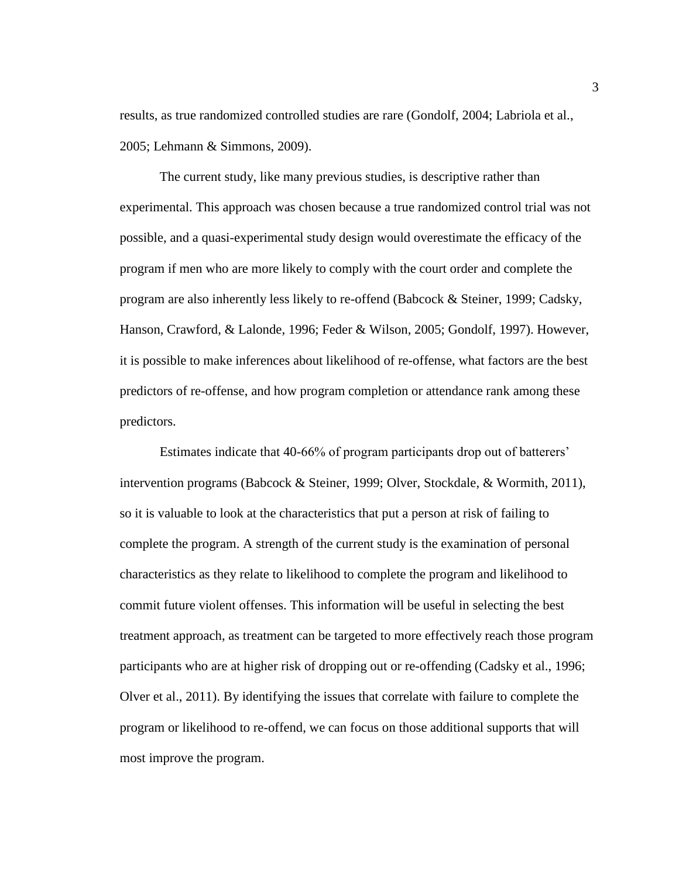results, as true randomized controlled studies are rare (Gondolf, 2004; Labriola et al., 2005; Lehmann & Simmons, 2009).

The current study, like many previous studies, is descriptive rather than experimental. This approach was chosen because a true randomized control trial was not possible, and a quasi-experimental study design would overestimate the efficacy of the program if men who are more likely to comply with the court order and complete the program are also inherently less likely to re-offend (Babcock & Steiner, 1999; Cadsky, Hanson, Crawford, & Lalonde, 1996; Feder & Wilson, 2005; Gondolf, 1997). However, it is possible to make inferences about likelihood of re-offense, what factors are the best predictors of re-offense, and how program completion or attendance rank among these predictors.

Estimates indicate that 40-66% of program participants drop out of batterers' intervention programs (Babcock & Steiner, 1999; Olver, Stockdale, & Wormith, 2011), so it is valuable to look at the characteristics that put a person at risk of failing to complete the program. A strength of the current study is the examination of personal characteristics as they relate to likelihood to complete the program and likelihood to commit future violent offenses. This information will be useful in selecting the best treatment approach, as treatment can be targeted to more effectively reach those program participants who are at higher risk of dropping out or re-offending (Cadsky et al., 1996; Olver et al., 2011). By identifying the issues that correlate with failure to complete the program or likelihood to re-offend, we can focus on those additional supports that will most improve the program.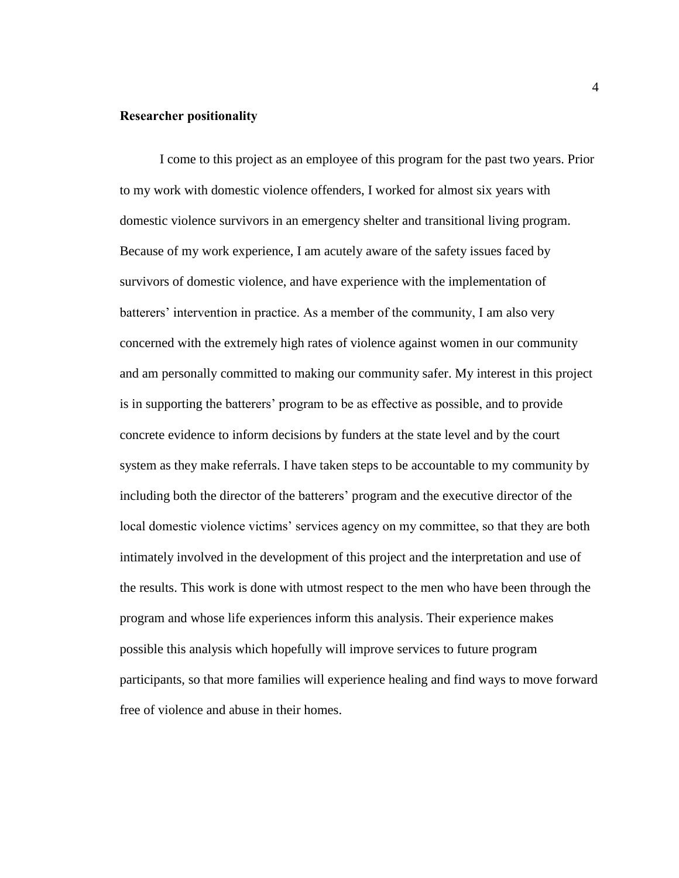#### <span id="page-10-0"></span>**Researcher positionality**

I come to this project as an employee of this program for the past two years. Prior to my work with domestic violence offenders, I worked for almost six years with domestic violence survivors in an emergency shelter and transitional living program. Because of my work experience, I am acutely aware of the safety issues faced by survivors of domestic violence, and have experience with the implementation of batterers' intervention in practice. As a member of the community, I am also very concerned with the extremely high rates of violence against women in our community and am personally committed to making our community safer. My interest in this project is in supporting the batterers' program to be as effective as possible, and to provide concrete evidence to inform decisions by funders at the state level and by the court system as they make referrals. I have taken steps to be accountable to my community by including both the director of the batterers' program and the executive director of the local domestic violence victims' services agency on my committee, so that they are both intimately involved in the development of this project and the interpretation and use of the results. This work is done with utmost respect to the men who have been through the program and whose life experiences inform this analysis. Their experience makes possible this analysis which hopefully will improve services to future program participants, so that more families will experience healing and find ways to move forward free of violence and abuse in their homes.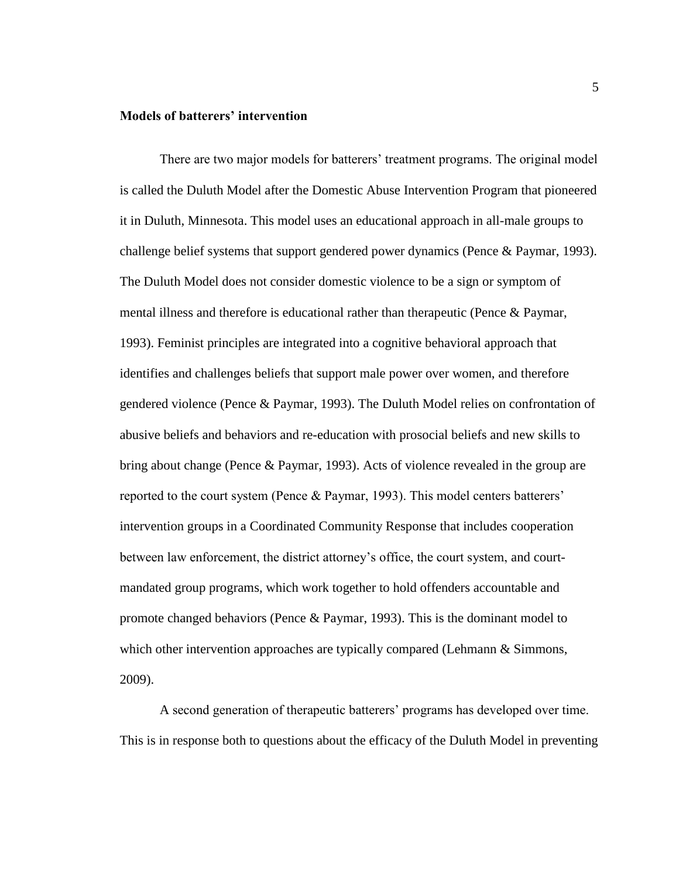# <span id="page-11-0"></span>**Models of batterers' intervention**

There are two major models for batterers' treatment programs. The original model is called the Duluth Model after the Domestic Abuse Intervention Program that pioneered it in Duluth, Minnesota. This model uses an educational approach in all-male groups to challenge belief systems that support gendered power dynamics (Pence & Paymar, 1993). The Duluth Model does not consider domestic violence to be a sign or symptom of mental illness and therefore is educational rather than therapeutic (Pence & Paymar, 1993). Feminist principles are integrated into a cognitive behavioral approach that identifies and challenges beliefs that support male power over women, and therefore gendered violence (Pence & Paymar, 1993). The Duluth Model relies on confrontation of abusive beliefs and behaviors and re-education with prosocial beliefs and new skills to bring about change (Pence & Paymar, 1993). Acts of violence revealed in the group are reported to the court system (Pence & Paymar, 1993). This model centers batterers' intervention groups in a Coordinated Community Response that includes cooperation between law enforcement, the district attorney's office, the court system, and courtmandated group programs, which work together to hold offenders accountable and promote changed behaviors (Pence & Paymar, 1993). This is the dominant model to which other intervention approaches are typically compared (Lehmann & Simmons, 2009).

A second generation of therapeutic batterers' programs has developed over time. This is in response both to questions about the efficacy of the Duluth Model in preventing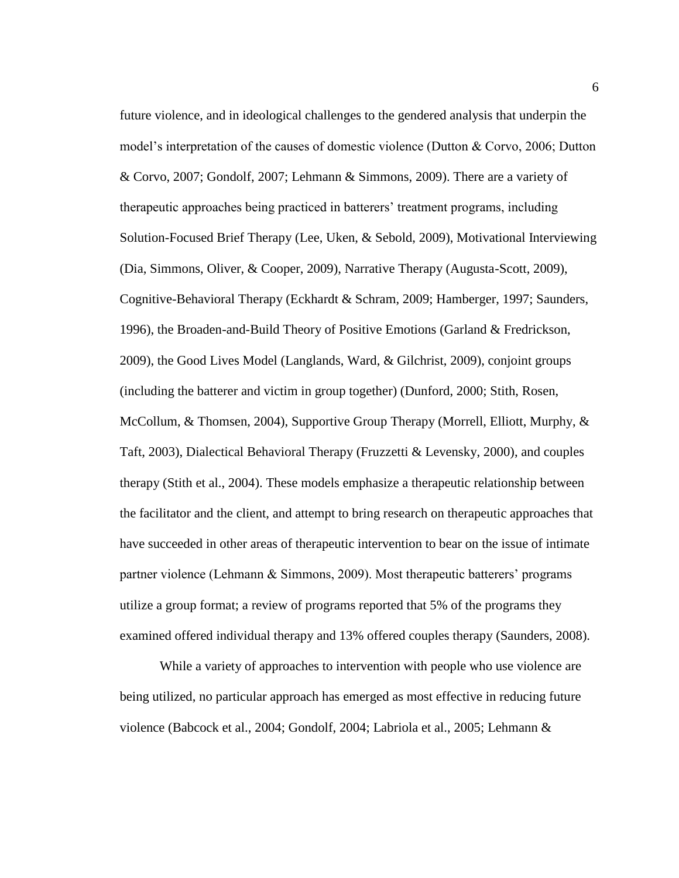future violence, and in ideological challenges to the gendered analysis that underpin the model's interpretation of the causes of domestic violence (Dutton & Corvo, 2006; Dutton & Corvo, 2007; Gondolf, 2007; Lehmann & Simmons, 2009). There are a variety of therapeutic approaches being practiced in batterers' treatment programs, including Solution-Focused Brief Therapy (Lee, Uken, & Sebold, 2009), Motivational Interviewing (Dia, Simmons, Oliver, & Cooper, 2009), Narrative Therapy (Augusta-Scott, 2009), Cognitive-Behavioral Therapy (Eckhardt & Schram, 2009; Hamberger, 1997; Saunders, 1996), the Broaden-and-Build Theory of Positive Emotions (Garland & Fredrickson, 2009), the Good Lives Model (Langlands, Ward, & Gilchrist, 2009), conjoint groups (including the batterer and victim in group together) (Dunford, 2000; Stith, Rosen, McCollum, & Thomsen, 2004), Supportive Group Therapy (Morrell, Elliott, Murphy, & Taft, 2003), Dialectical Behavioral Therapy (Fruzzetti & Levensky, 2000), and couples therapy (Stith et al., 2004). These models emphasize a therapeutic relationship between the facilitator and the client, and attempt to bring research on therapeutic approaches that have succeeded in other areas of therapeutic intervention to bear on the issue of intimate partner violence (Lehmann & Simmons, 2009). Most therapeutic batterers' programs utilize a group format; a review of programs reported that 5% of the programs they examined offered individual therapy and 13% offered couples therapy (Saunders, 2008).

While a variety of approaches to intervention with people who use violence are being utilized, no particular approach has emerged as most effective in reducing future violence (Babcock et al., 2004; Gondolf, 2004; Labriola et al., 2005; Lehmann &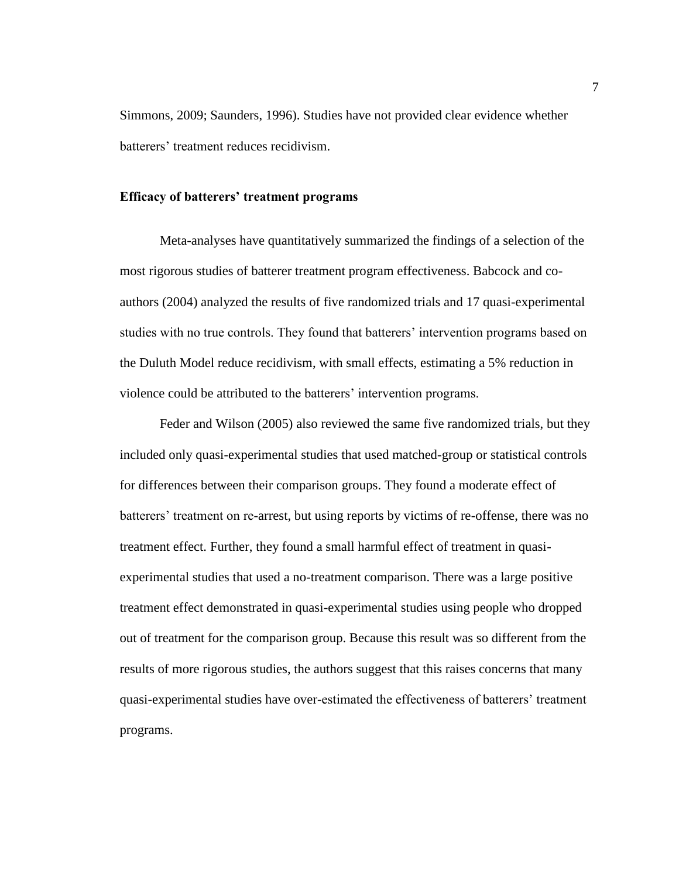Simmons, 2009; Saunders, 1996). Studies have not provided clear evidence whether batterers' treatment reduces recidivism.

#### <span id="page-13-0"></span>**Efficacy of batterers' treatment programs**

Meta-analyses have quantitatively summarized the findings of a selection of the most rigorous studies of batterer treatment program effectiveness. Babcock and coauthors (2004) analyzed the results of five randomized trials and 17 quasi-experimental studies with no true controls. They found that batterers' intervention programs based on the Duluth Model reduce recidivism, with small effects, estimating a 5% reduction in violence could be attributed to the batterers' intervention programs.

Feder and Wilson (2005) also reviewed the same five randomized trials, but they included only quasi-experimental studies that used matched-group or statistical controls for differences between their comparison groups. They found a moderate effect of batterers' treatment on re-arrest, but using reports by victims of re-offense, there was no treatment effect. Further, they found a small harmful effect of treatment in quasiexperimental studies that used a no-treatment comparison. There was a large positive treatment effect demonstrated in quasi-experimental studies using people who dropped out of treatment for the comparison group. Because this result was so different from the results of more rigorous studies, the authors suggest that this raises concerns that many quasi-experimental studies have over-estimated the effectiveness of batterers' treatment programs.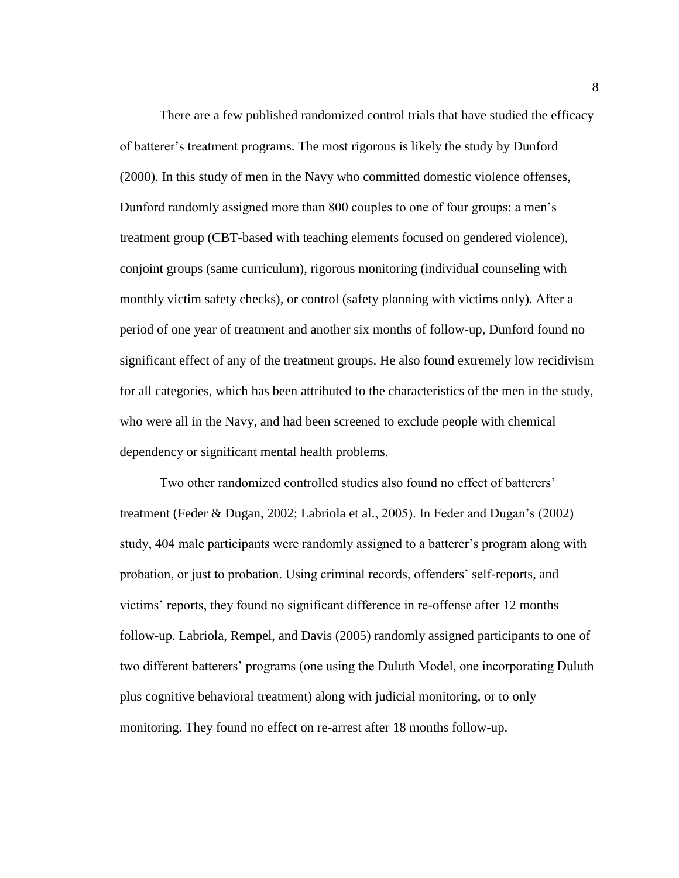There are a few published randomized control trials that have studied the efficacy of batterer's treatment programs. The most rigorous is likely the study by Dunford (2000). In this study of men in the Navy who committed domestic violence offenses, Dunford randomly assigned more than 800 couples to one of four groups: a men's treatment group (CBT-based with teaching elements focused on gendered violence), conjoint groups (same curriculum), rigorous monitoring (individual counseling with monthly victim safety checks), or control (safety planning with victims only). After a period of one year of treatment and another six months of follow-up, Dunford found no significant effect of any of the treatment groups. He also found extremely low recidivism for all categories, which has been attributed to the characteristics of the men in the study, who were all in the Navy, and had been screened to exclude people with chemical dependency or significant mental health problems.

Two other randomized controlled studies also found no effect of batterers' treatment (Feder & Dugan, 2002; Labriola et al., 2005). In Feder and Dugan's (2002) study, 404 male participants were randomly assigned to a batterer's program along with probation, or just to probation. Using criminal records, offenders' self-reports, and victims' reports, they found no significant difference in re-offense after 12 months follow-up. Labriola, Rempel, and Davis (2005) randomly assigned participants to one of two different batterers' programs (one using the Duluth Model, one incorporating Duluth plus cognitive behavioral treatment) along with judicial monitoring, or to only monitoring. They found no effect on re-arrest after 18 months follow-up.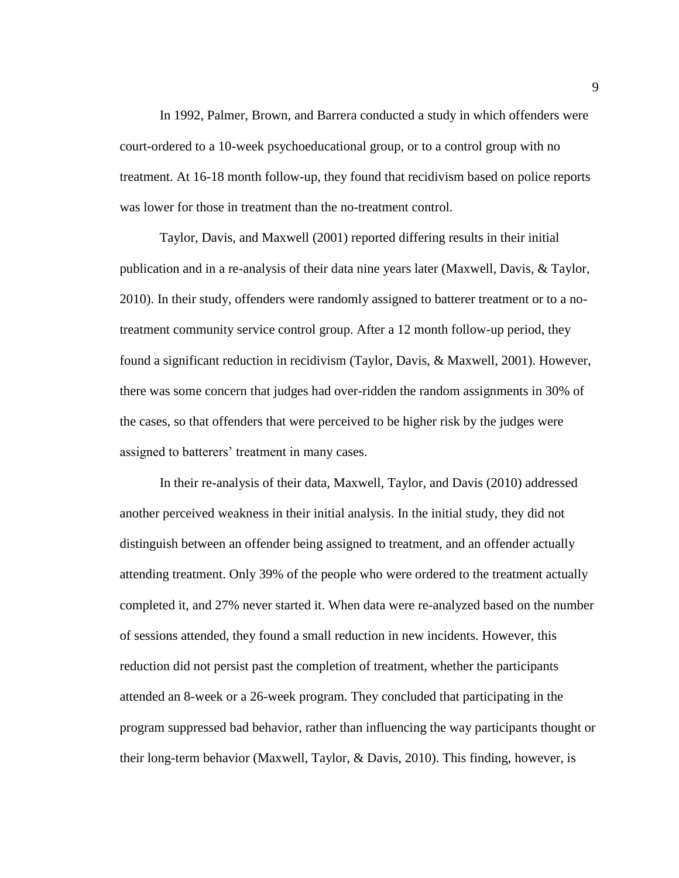In 1992, Palmer, Brown, and Barrera conducted a study in which offenders were court-ordered to a 10-week psychoeducational group, or to a control group with no treatment. At 16-18 month follow-up, they found that recidivism based on police reports was lower for those in treatment than the no-treatment control.

Taylor, Davis, and Maxwell (2001) reported differing results in their initial publication and in a re-analysis of their data nine years later (Maxwell, Davis, & Taylor, 2010). In their study, offenders were randomly assigned to batterer treatment or to a notreatment community service control group. After a 12 month follow-up period, they found a significant reduction in recidivism (Taylor, Davis, & Maxwell, 2001). However, there was some concern that judges had over-ridden the random assignments in 30% of the cases, so that offenders that were perceived to be higher risk by the judges were assigned to batterers' treatment in many cases.

In their re-analysis of their data, Maxwell, Taylor, and Davis (2010) addressed another perceived weakness in their initial analysis. In the initial study, they did not distinguish between an offender being assigned to treatment, and an offender actually attending treatment. Only 39% of the people who were ordered to the treatment actually completed it, and 27% never started it. When data were re-analyzed based on the number of sessions attended, they found a small reduction in new incidents. However, this reduction did not persist past the completion of treatment, whether the participants attended an 8-week or a 26-week program. They concluded that participating in the program suppressed bad behavior, rather than influencing the way participants thought or their long-term behavior (Maxwell, Taylor, & Davis, 2010). This finding, however, is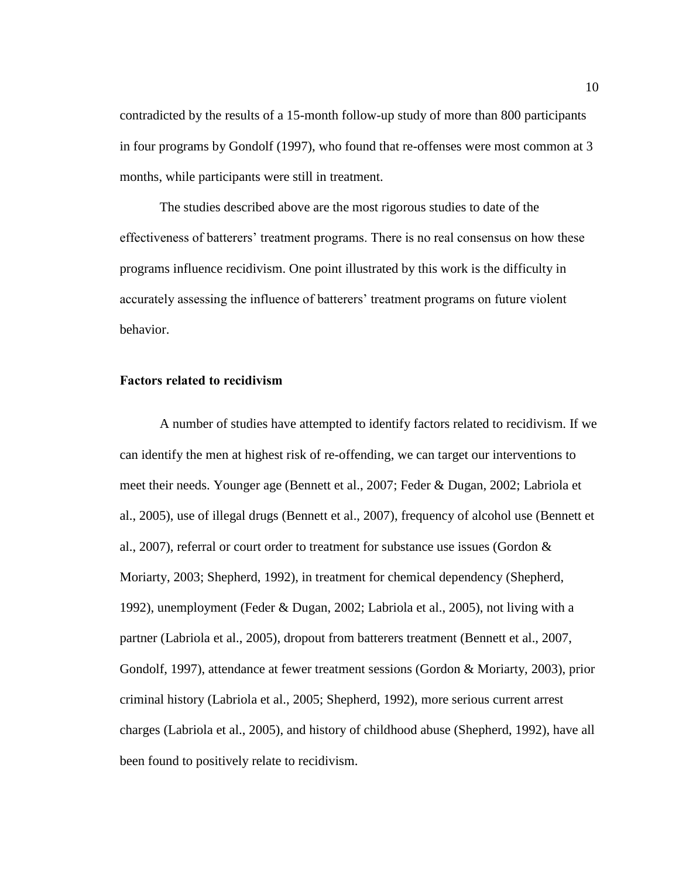contradicted by the results of a 15-month follow-up study of more than 800 participants in four programs by Gondolf (1997), who found that re-offenses were most common at 3 months, while participants were still in treatment.

The studies described above are the most rigorous studies to date of the effectiveness of batterers' treatment programs. There is no real consensus on how these programs influence recidivism. One point illustrated by this work is the difficulty in accurately assessing the influence of batterers' treatment programs on future violent behavior.

#### <span id="page-16-0"></span>**Factors related to recidivism**

A number of studies have attempted to identify factors related to recidivism. If we can identify the men at highest risk of re-offending, we can target our interventions to meet their needs. Younger age (Bennett et al., 2007; Feder & Dugan, 2002; Labriola et al., 2005), use of illegal drugs (Bennett et al., 2007), frequency of alcohol use (Bennett et al., 2007), referral or court order to treatment for substance use issues (Gordon  $\&$ Moriarty, 2003; Shepherd, 1992), in treatment for chemical dependency (Shepherd, 1992), unemployment (Feder & Dugan, 2002; Labriola et al., 2005), not living with a partner (Labriola et al., 2005), dropout from batterers treatment (Bennett et al., 2007, Gondolf, 1997), attendance at fewer treatment sessions (Gordon & Moriarty, 2003), prior criminal history (Labriola et al., 2005; Shepherd, 1992), more serious current arrest charges (Labriola et al., 2005), and history of childhood abuse (Shepherd, 1992), have all been found to positively relate to recidivism.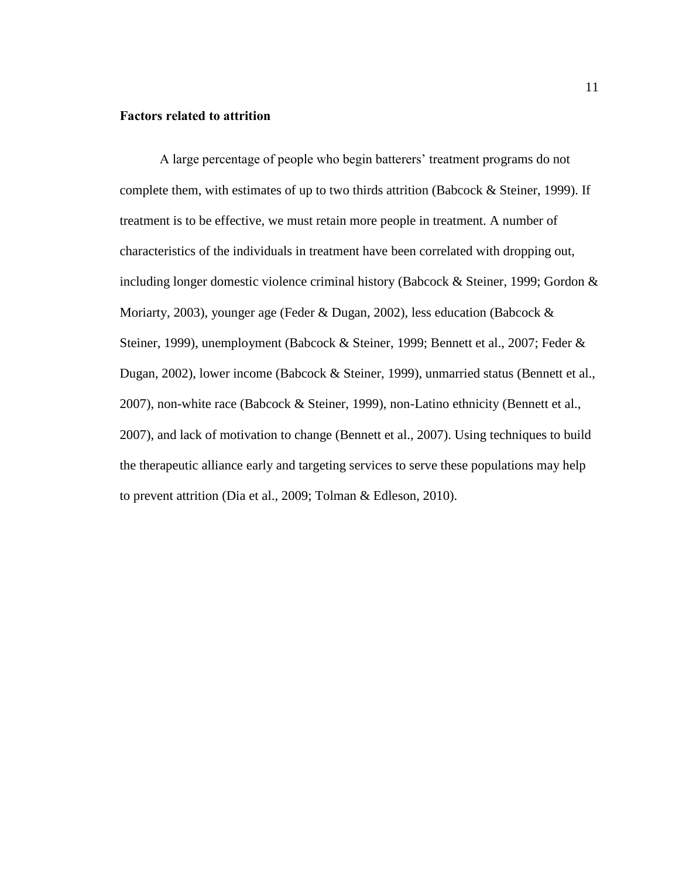# <span id="page-17-0"></span>**Factors related to attrition**

A large percentage of people who begin batterers' treatment programs do not complete them, with estimates of up to two thirds attrition (Babcock & Steiner, 1999). If treatment is to be effective, we must retain more people in treatment. A number of characteristics of the individuals in treatment have been correlated with dropping out, including longer domestic violence criminal history (Babcock & Steiner, 1999; Gordon & Moriarty, 2003), younger age (Feder & Dugan, 2002), less education (Babcock & Steiner, 1999), unemployment (Babcock & Steiner, 1999; Bennett et al., 2007; Feder & Dugan, 2002), lower income (Babcock & Steiner, 1999), unmarried status (Bennett et al., 2007), non-white race (Babcock & Steiner, 1999), non-Latino ethnicity (Bennett et al., 2007), and lack of motivation to change (Bennett et al., 2007). Using techniques to build the therapeutic alliance early and targeting services to serve these populations may help to prevent attrition (Dia et al., 2009; Tolman & Edleson, 2010).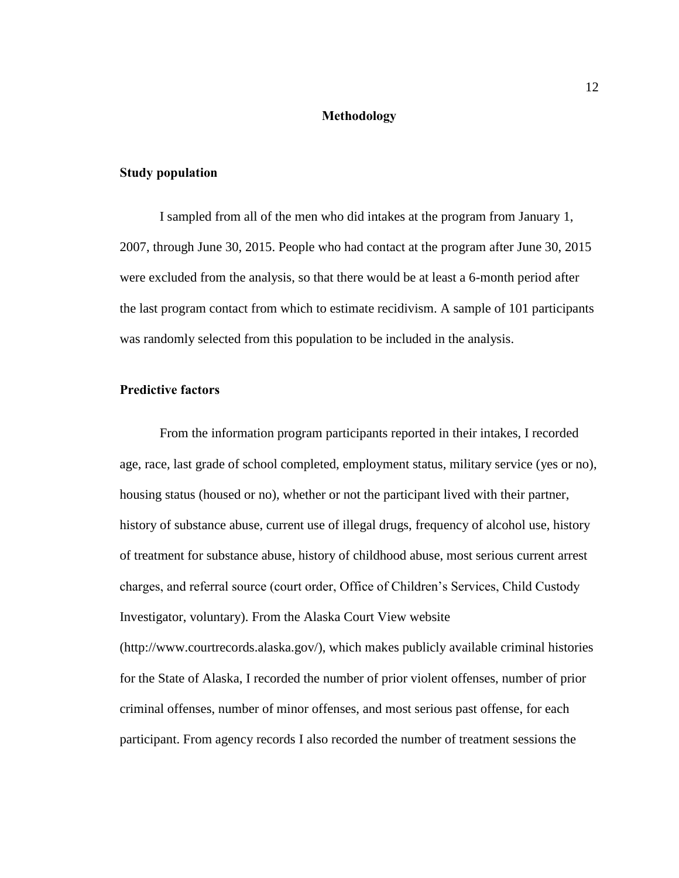#### **Methodology**

#### <span id="page-18-1"></span><span id="page-18-0"></span>**Study population**

I sampled from all of the men who did intakes at the program from January 1, 2007, through June 30, 2015. People who had contact at the program after June 30, 2015 were excluded from the analysis, so that there would be at least a 6-month period after the last program contact from which to estimate recidivism. A sample of 101 participants was randomly selected from this population to be included in the analysis.

## <span id="page-18-2"></span>**Predictive factors**

From the information program participants reported in their intakes, I recorded age, race, last grade of school completed, employment status, military service (yes or no), housing status (housed or no), whether or not the participant lived with their partner, history of substance abuse, current use of illegal drugs, frequency of alcohol use, history of treatment for substance abuse, history of childhood abuse, most serious current arrest charges, and referral source (court order, Office of Children's Services, Child Custody Investigator, voluntary). From the Alaska Court View website (http://www.courtrecords.alaska.gov/), which makes publicly available criminal histories for the State of Alaska, I recorded the number of prior violent offenses, number of prior criminal offenses, number of minor offenses, and most serious past offense, for each participant. From agency records I also recorded the number of treatment sessions the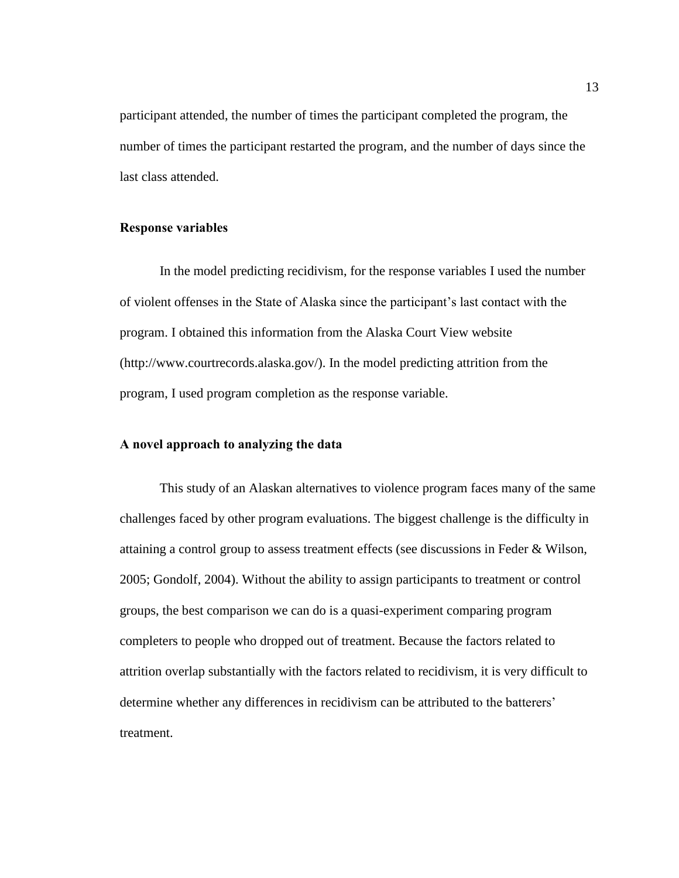participant attended, the number of times the participant completed the program, the number of times the participant restarted the program, and the number of days since the last class attended.

## <span id="page-19-0"></span>**Response variables**

In the model predicting recidivism, for the response variables I used the number of violent offenses in the State of Alaska since the participant's last contact with the program. I obtained this information from the Alaska Court View website (http://www.courtrecords.alaska.gov/). In the model predicting attrition from the program, I used program completion as the response variable.

### <span id="page-19-1"></span>**A novel approach to analyzing the data**

This study of an Alaskan alternatives to violence program faces many of the same challenges faced by other program evaluations. The biggest challenge is the difficulty in attaining a control group to assess treatment effects (see discussions in Feder & Wilson, 2005; Gondolf, 2004). Without the ability to assign participants to treatment or control groups, the best comparison we can do is a quasi-experiment comparing program completers to people who dropped out of treatment. Because the factors related to attrition overlap substantially with the factors related to recidivism, it is very difficult to determine whether any differences in recidivism can be attributed to the batterers' treatment.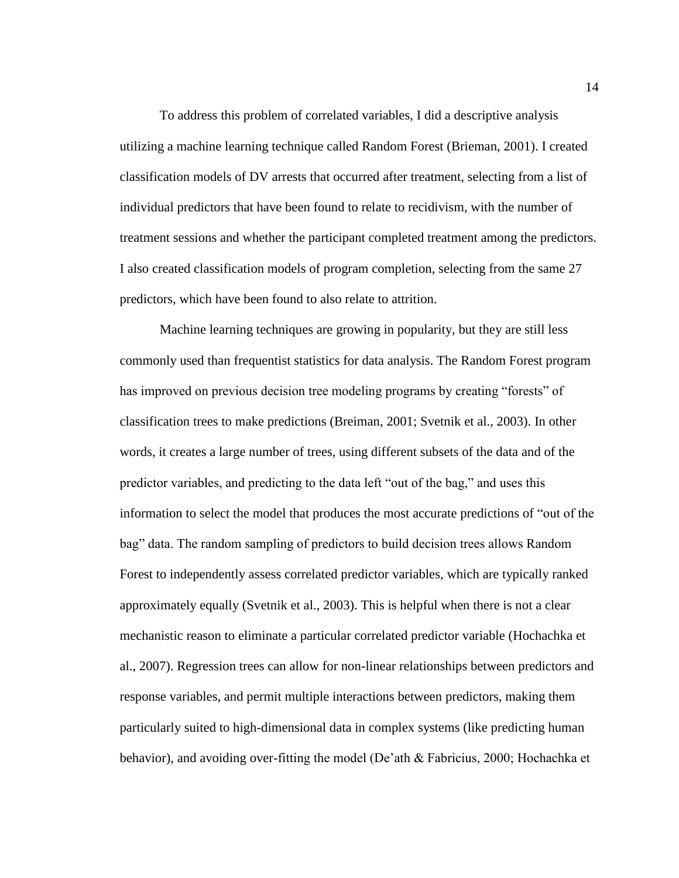To address this problem of correlated variables, I did a descriptive analysis utilizing a machine learning technique called Random Forest (Brieman, 2001). I created classification models of DV arrests that occurred after treatment, selecting from a list of individual predictors that have been found to relate to recidivism, with the number of treatment sessions and whether the participant completed treatment among the predictors. I also created classification models of program completion, selecting from the same 27 predictors, which have been found to also relate to attrition.

Machine learning techniques are growing in popularity, but they are still less commonly used than frequentist statistics for data analysis. The Random Forest program has improved on previous decision tree modeling programs by creating "forests" of classification trees to make predictions (Breiman, 2001; Svetnik et al., 2003). In other words, it creates a large number of trees, using different subsets of the data and of the predictor variables, and predicting to the data left "out of the bag," and uses this information to select the model that produces the most accurate predictions of "out of the bag" data. The random sampling of predictors to build decision trees allows Random Forest to independently assess correlated predictor variables, which are typically ranked approximately equally (Svetnik et al., 2003). This is helpful when there is not a clear mechanistic reason to eliminate a particular correlated predictor variable (Hochachka et al., 2007). Regression trees can allow for non-linear relationships between predictors and response variables, and permit multiple interactions between predictors, making them particularly suited to high-dimensional data in complex systems (like predicting human behavior), and avoiding over-fitting the model (De'ath & Fabricius, 2000; Hochachka et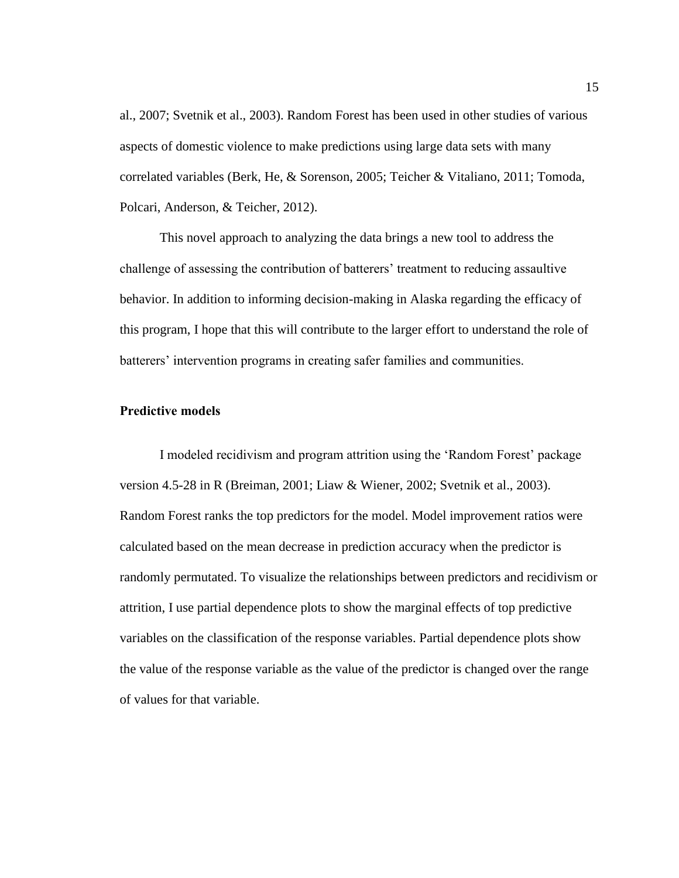al., 2007; Svetnik et al., 2003). Random Forest has been used in other studies of various aspects of domestic violence to make predictions using large data sets with many correlated variables (Berk, He, & Sorenson, 2005; Teicher & Vitaliano, 2011; Tomoda, Polcari, Anderson, & Teicher, 2012).

This novel approach to analyzing the data brings a new tool to address the challenge of assessing the contribution of batterers' treatment to reducing assaultive behavior. In addition to informing decision-making in Alaska regarding the efficacy of this program, I hope that this will contribute to the larger effort to understand the role of batterers' intervention programs in creating safer families and communities.

# <span id="page-21-0"></span>**Predictive models**

I modeled recidivism and program attrition using the 'Random Forest' package version 4.5-28 in R (Breiman, 2001; Liaw & Wiener, 2002; Svetnik et al., 2003). Random Forest ranks the top predictors for the model. Model improvement ratios were calculated based on the mean decrease in prediction accuracy when the predictor is randomly permutated. To visualize the relationships between predictors and recidivism or attrition, I use partial dependence plots to show the marginal effects of top predictive variables on the classification of the response variables. Partial dependence plots show the value of the response variable as the value of the predictor is changed over the range of values for that variable.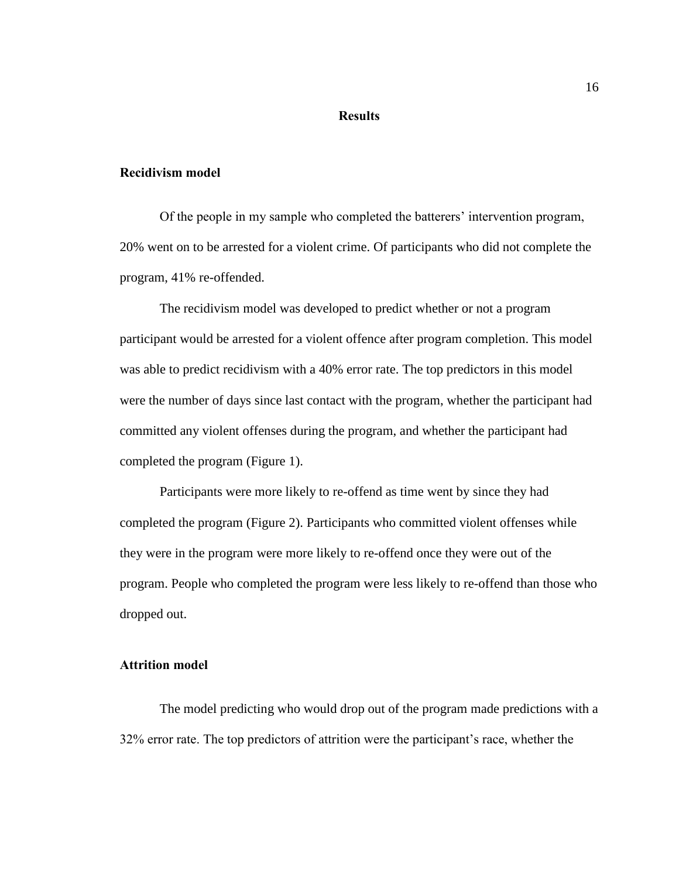#### **Results**

#### <span id="page-22-1"></span><span id="page-22-0"></span>**Recidivism model**

Of the people in my sample who completed the batterers' intervention program, 20% went on to be arrested for a violent crime. Of participants who did not complete the program, 41% re-offended.

The recidivism model was developed to predict whether or not a program participant would be arrested for a violent offence after program completion. This model was able to predict recidivism with a 40% error rate. The top predictors in this model were the number of days since last contact with the program, whether the participant had committed any violent offenses during the program, and whether the participant had completed the program (Figure 1).

Participants were more likely to re-offend as time went by since they had completed the program (Figure 2). Participants who committed violent offenses while they were in the program were more likely to re-offend once they were out of the program. People who completed the program were less likely to re-offend than those who dropped out.

#### <span id="page-22-2"></span>**Attrition model**

The model predicting who would drop out of the program made predictions with a 32% error rate. The top predictors of attrition were the participant's race, whether the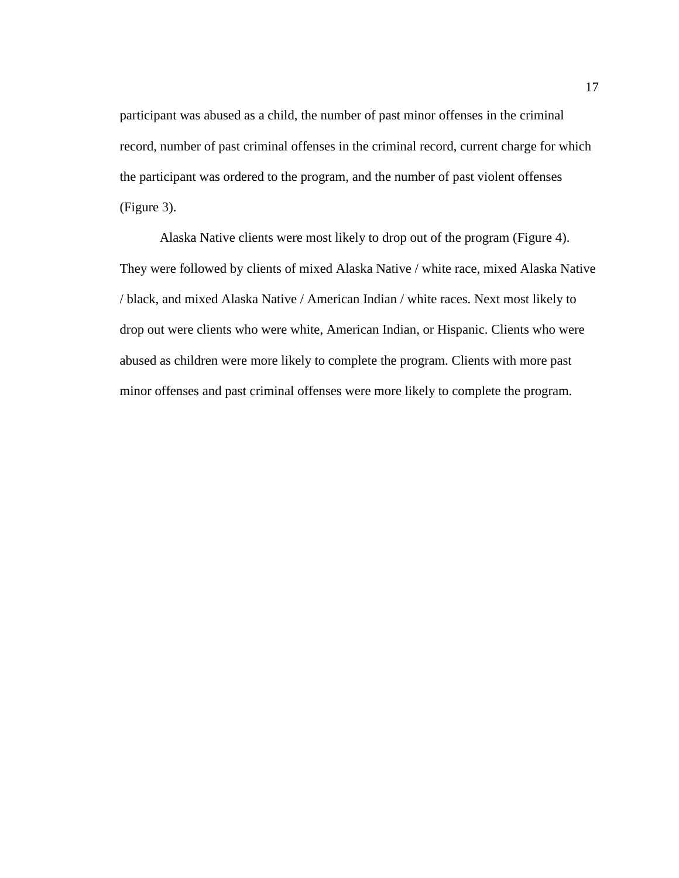participant was abused as a child, the number of past minor offenses in the criminal record, number of past criminal offenses in the criminal record, current charge for which the participant was ordered to the program, and the number of past violent offenses (Figure 3).

Alaska Native clients were most likely to drop out of the program (Figure 4). They were followed by clients of mixed Alaska Native / white race, mixed Alaska Native / black, and mixed Alaska Native / American Indian / white races. Next most likely to drop out were clients who were white, American Indian, or Hispanic. Clients who were abused as children were more likely to complete the program. Clients with more past minor offenses and past criminal offenses were more likely to complete the program.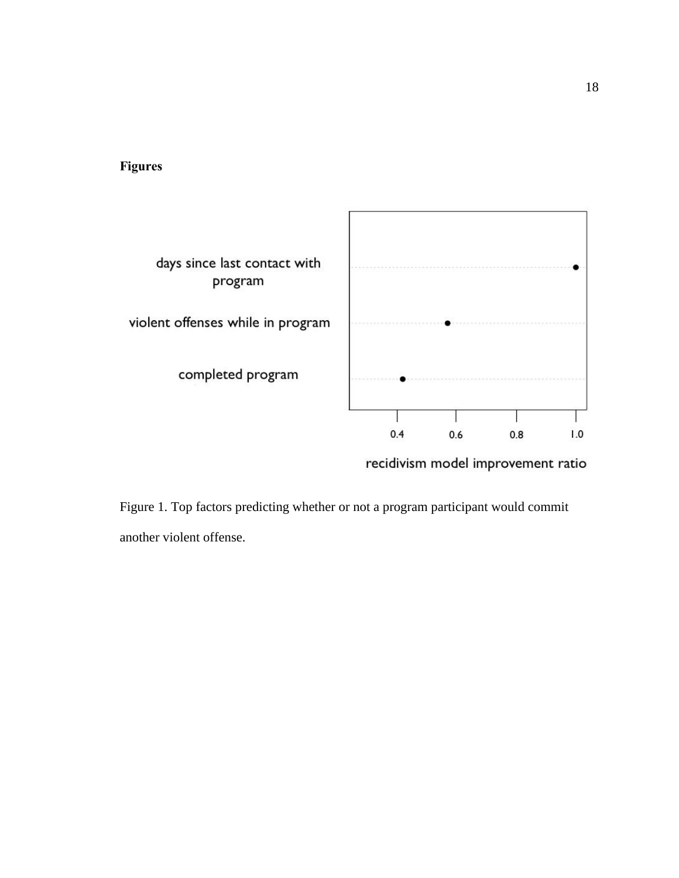<span id="page-24-0"></span>



recidivism model improvement ratio

<span id="page-24-1"></span>Figure 1. Top factors predicting whether or not a program participant would commit another violent offense.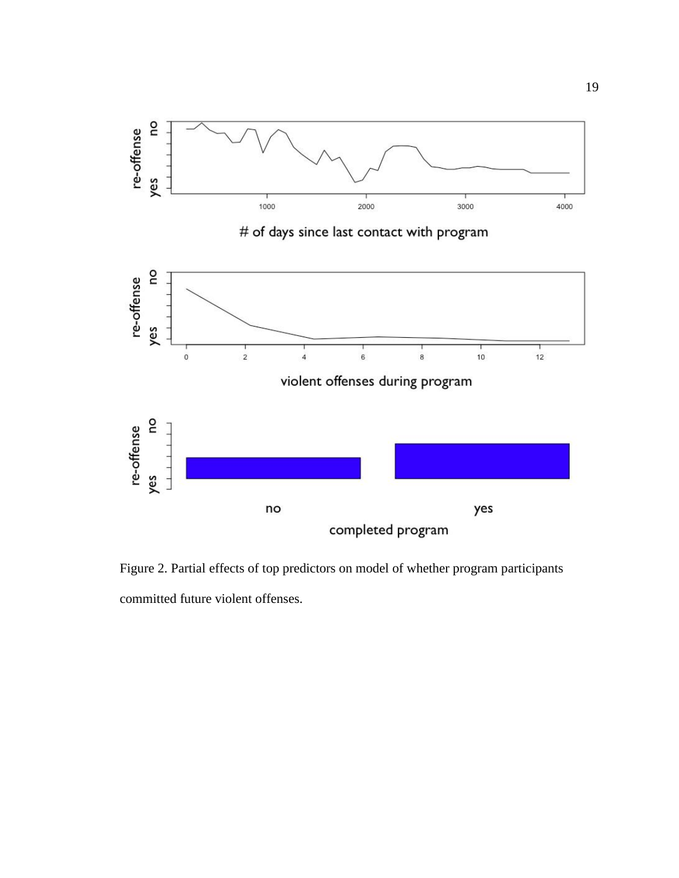

<span id="page-25-0"></span>Figure 2. Partial effects of top predictors on model of whether program participants committed future violent offenses.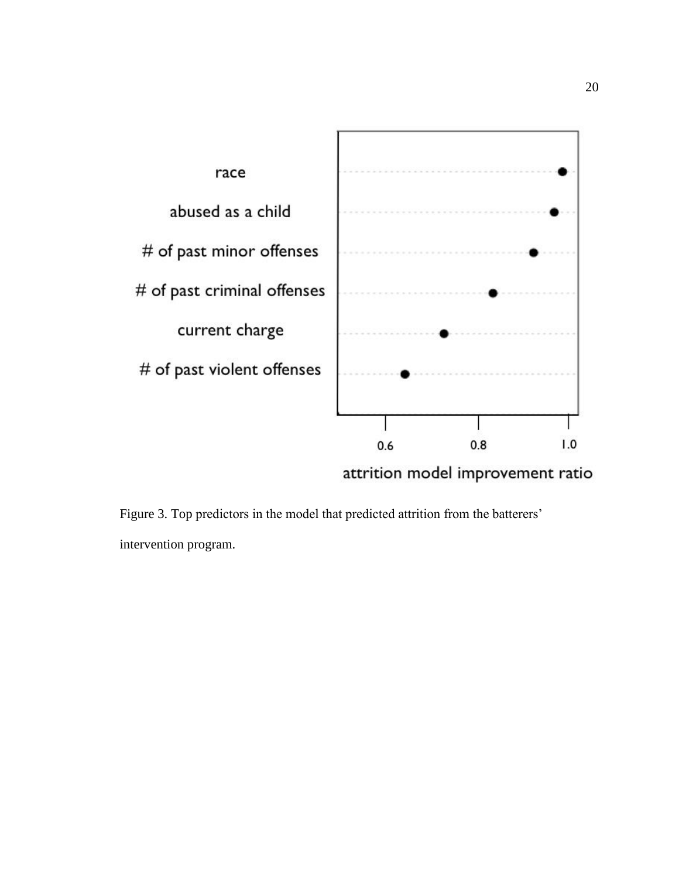

<span id="page-26-0"></span>Figure 3. Top predictors in the model that predicted attrition from the batterers' intervention program.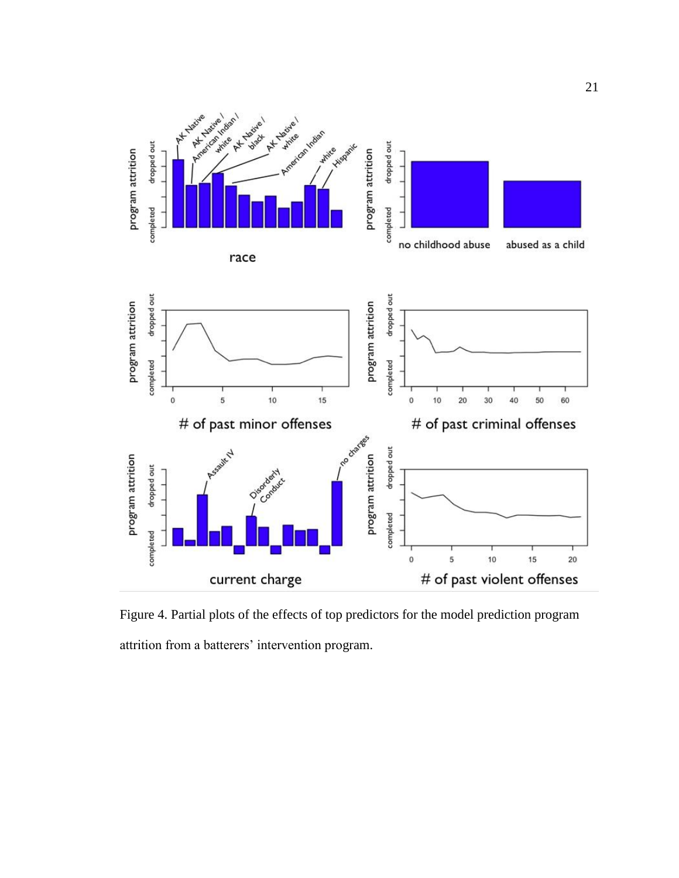

<span id="page-27-0"></span>Figure 4. Partial plots of the effects of top predictors for the model prediction program attrition from a batterers' intervention program.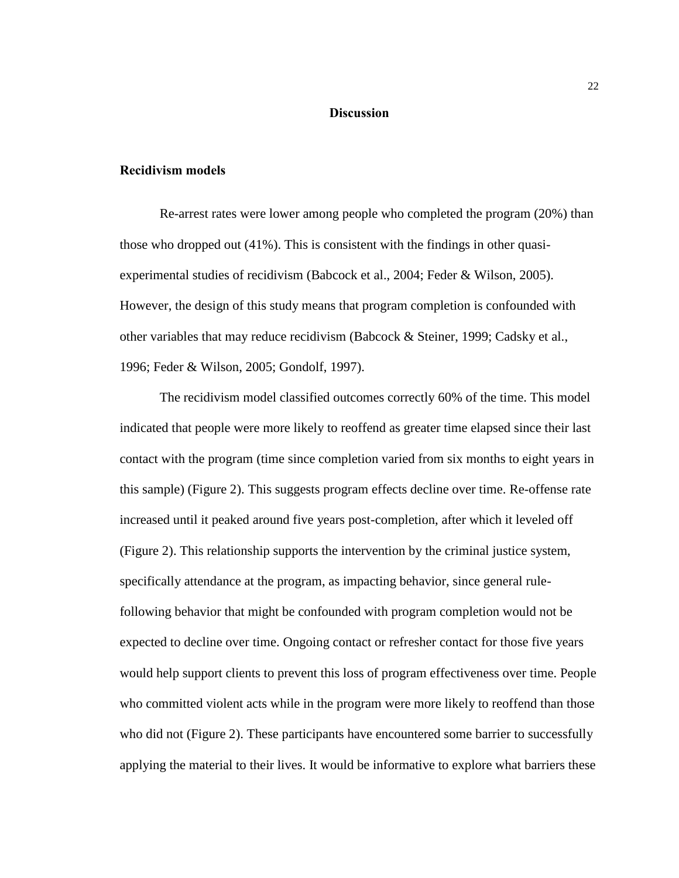# **Discussion**

#### <span id="page-28-1"></span><span id="page-28-0"></span>**Recidivism models**

Re-arrest rates were lower among people who completed the program (20%) than those who dropped out (41%). This is consistent with the findings in other quasiexperimental studies of recidivism (Babcock et al., 2004; Feder & Wilson, 2005). However, the design of this study means that program completion is confounded with other variables that may reduce recidivism (Babcock & Steiner, 1999; Cadsky et al., 1996; Feder & Wilson, 2005; Gondolf, 1997).

The recidivism model classified outcomes correctly 60% of the time. This model indicated that people were more likely to reoffend as greater time elapsed since their last contact with the program (time since completion varied from six months to eight years in this sample) (Figure 2). This suggests program effects decline over time. Re-offense rate increased until it peaked around five years post-completion, after which it leveled off (Figure 2). This relationship supports the intervention by the criminal justice system, specifically attendance at the program, as impacting behavior, since general rulefollowing behavior that might be confounded with program completion would not be expected to decline over time. Ongoing contact or refresher contact for those five years would help support clients to prevent this loss of program effectiveness over time. People who committed violent acts while in the program were more likely to reoffend than those who did not (Figure 2). These participants have encountered some barrier to successfully applying the material to their lives. It would be informative to explore what barriers these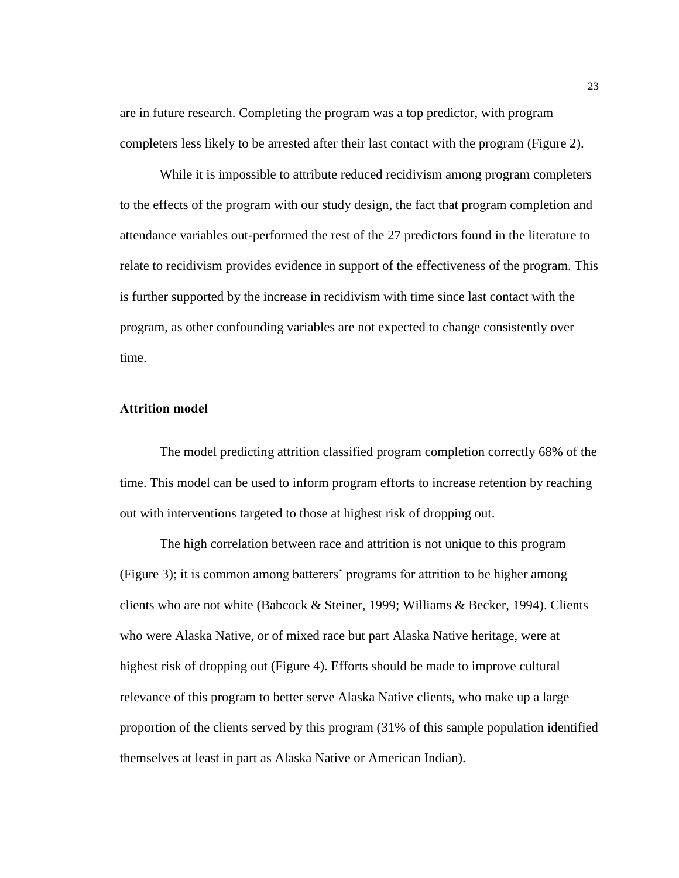are in future research. Completing the program was a top predictor, with program completers less likely to be arrested after their last contact with the program (Figure 2).

While it is impossible to attribute reduced recidivism among program completers to the effects of the program with our study design, the fact that program completion and attendance variables out-performed the rest of the 27 predictors found in the literature to relate to recidivism provides evidence in support of the effectiveness of the program. This is further supported by the increase in recidivism with time since last contact with the program, as other confounding variables are not expected to change consistently over time.

# <span id="page-29-0"></span>**Attrition model**

The model predicting attrition classified program completion correctly 68% of the time. This model can be used to inform program efforts to increase retention by reaching out with interventions targeted to those at highest risk of dropping out.

The high correlation between race and attrition is not unique to this program (Figure 3); it is common among batterers' programs for attrition to be higher among clients who are not white (Babcock & Steiner, 1999; Williams & Becker, 1994). Clients who were Alaska Native, or of mixed race but part Alaska Native heritage, were at highest risk of dropping out (Figure 4). Efforts should be made to improve cultural relevance of this program to better serve Alaska Native clients, who make up a large proportion of the clients served by this program (31% of this sample population identified themselves at least in part as Alaska Native or American Indian).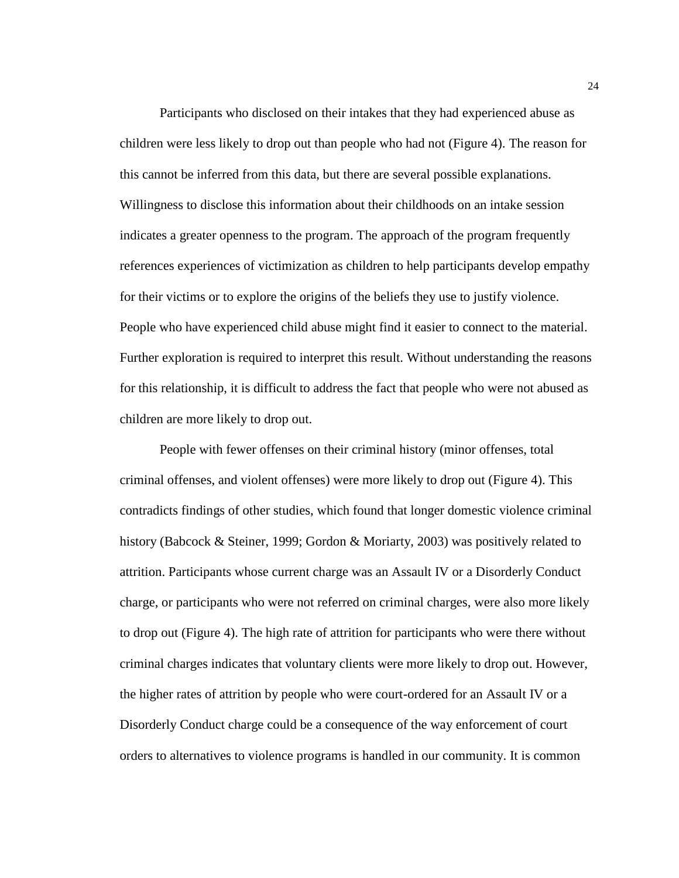Participants who disclosed on their intakes that they had experienced abuse as children were less likely to drop out than people who had not (Figure 4). The reason for this cannot be inferred from this data, but there are several possible explanations. Willingness to disclose this information about their childhoods on an intake session indicates a greater openness to the program. The approach of the program frequently references experiences of victimization as children to help participants develop empathy for their victims or to explore the origins of the beliefs they use to justify violence. People who have experienced child abuse might find it easier to connect to the material. Further exploration is required to interpret this result. Without understanding the reasons for this relationship, it is difficult to address the fact that people who were not abused as children are more likely to drop out.

People with fewer offenses on their criminal history (minor offenses, total criminal offenses, and violent offenses) were more likely to drop out (Figure 4). This contradicts findings of other studies, which found that longer domestic violence criminal history (Babcock & Steiner, 1999; Gordon & Moriarty, 2003) was positively related to attrition. Participants whose current charge was an Assault IV or a Disorderly Conduct charge, or participants who were not referred on criminal charges, were also more likely to drop out (Figure 4). The high rate of attrition for participants who were there without criminal charges indicates that voluntary clients were more likely to drop out. However, the higher rates of attrition by people who were court-ordered for an Assault IV or a Disorderly Conduct charge could be a consequence of the way enforcement of court orders to alternatives to violence programs is handled in our community. It is common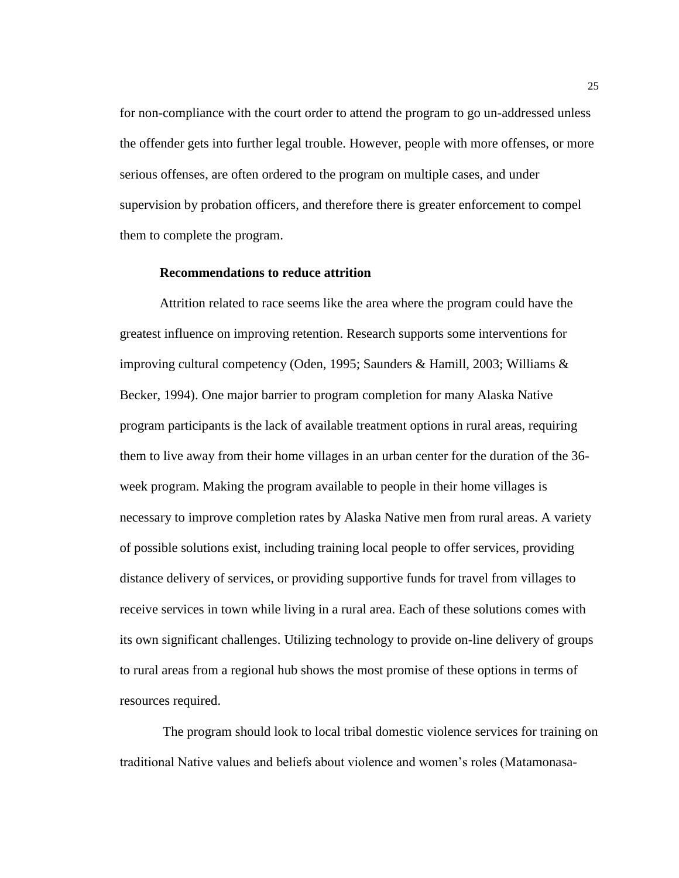for non-compliance with the court order to attend the program to go un-addressed unless the offender gets into further legal trouble. However, people with more offenses, or more serious offenses, are often ordered to the program on multiple cases, and under supervision by probation officers, and therefore there is greater enforcement to compel them to complete the program.

#### **Recommendations to reduce attrition**

<span id="page-31-0"></span>Attrition related to race seems like the area where the program could have the greatest influence on improving retention. Research supports some interventions for improving cultural competency (Oden, 1995; Saunders & Hamill, 2003; Williams & Becker, 1994). One major barrier to program completion for many Alaska Native program participants is the lack of available treatment options in rural areas, requiring them to live away from their home villages in an urban center for the duration of the 36 week program. Making the program available to people in their home villages is necessary to improve completion rates by Alaska Native men from rural areas. A variety of possible solutions exist, including training local people to offer services, providing distance delivery of services, or providing supportive funds for travel from villages to receive services in town while living in a rural area. Each of these solutions comes with its own significant challenges. Utilizing technology to provide on-line delivery of groups to rural areas from a regional hub shows the most promise of these options in terms of resources required.

The program should look to local tribal domestic violence services for training on traditional Native values and beliefs about violence and women's roles (Matamonasa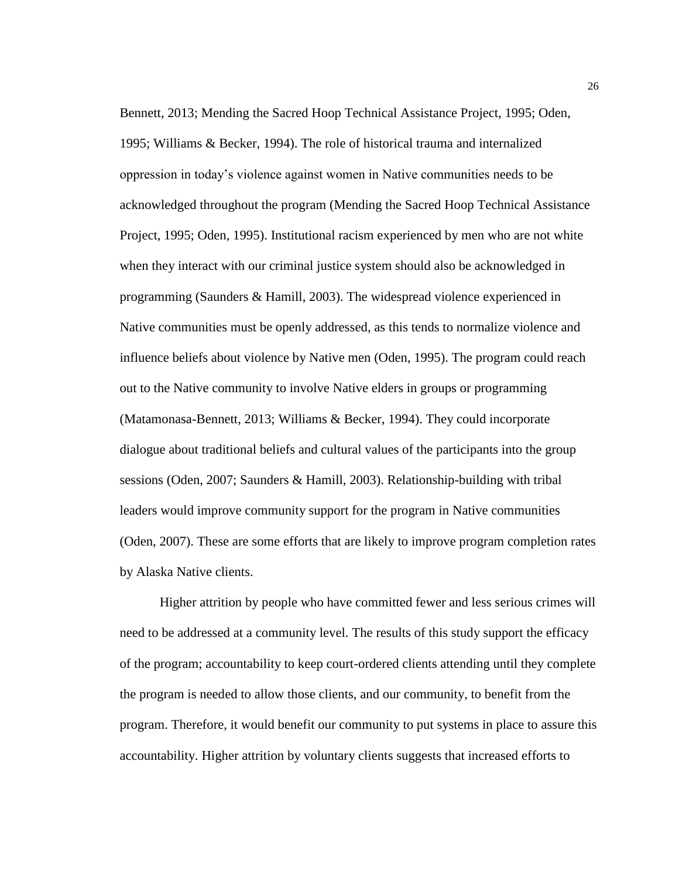Bennett, 2013; Mending the Sacred Hoop Technical Assistance Project, 1995; Oden, 1995; Williams & Becker, 1994). The role of historical trauma and internalized oppression in today's violence against women in Native communities needs to be acknowledged throughout the program (Mending the Sacred Hoop Technical Assistance Project, 1995; Oden, 1995). Institutional racism experienced by men who are not white when they interact with our criminal justice system should also be acknowledged in programming (Saunders & Hamill, 2003). The widespread violence experienced in Native communities must be openly addressed, as this tends to normalize violence and influence beliefs about violence by Native men (Oden, 1995). The program could reach out to the Native community to involve Native elders in groups or programming (Matamonasa-Bennett, 2013; Williams & Becker, 1994). They could incorporate dialogue about traditional beliefs and cultural values of the participants into the group sessions (Oden, 2007; Saunders & Hamill, 2003). Relationship-building with tribal leaders would improve community support for the program in Native communities (Oden, 2007). These are some efforts that are likely to improve program completion rates by Alaska Native clients.

Higher attrition by people who have committed fewer and less serious crimes will need to be addressed at a community level. The results of this study support the efficacy of the program; accountability to keep court-ordered clients attending until they complete the program is needed to allow those clients, and our community, to benefit from the program. Therefore, it would benefit our community to put systems in place to assure this accountability. Higher attrition by voluntary clients suggests that increased efforts to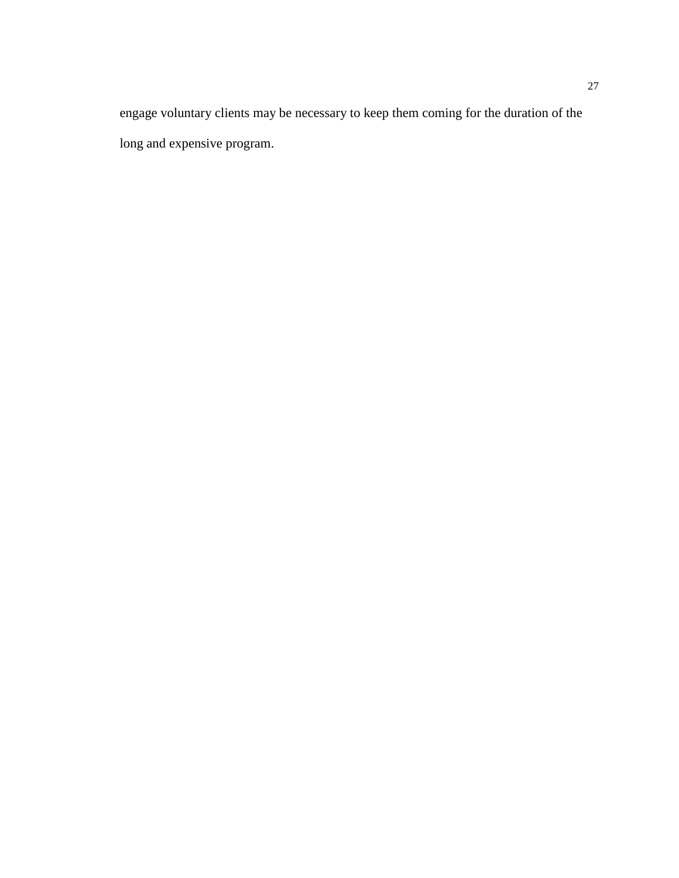engage voluntary clients may be necessary to keep them coming for the duration of the long and expensive program.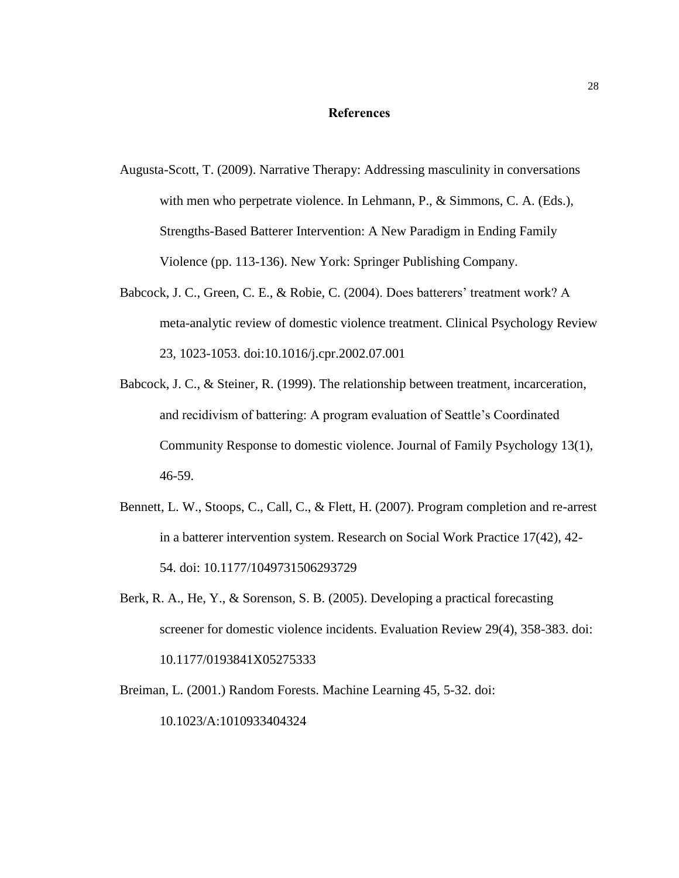#### **References**

- <span id="page-34-0"></span>Augusta-Scott, T. (2009). Narrative Therapy: Addressing masculinity in conversations with men who perpetrate violence. In Lehmann, P., & Simmons, C. A. (Eds.), Strengths-Based Batterer Intervention: A New Paradigm in Ending Family Violence (pp. 113-136). New York: Springer Publishing Company.
- Babcock, J. C., Green, C. E., & Robie, C. (2004). Does batterers' treatment work? A meta-analytic review of domestic violence treatment. Clinical Psychology Review 23, 1023-1053. doi:10.1016/j.cpr.2002.07.001
- Babcock, J. C., & Steiner, R. (1999). The relationship between treatment, incarceration, and recidivism of battering: A program evaluation of Seattle's Coordinated Community Response to domestic violence. Journal of Family Psychology 13(1), 46-59.
- Bennett, L. W., Stoops, C., Call, C., & Flett, H. (2007). Program completion and re-arrest in a batterer intervention system. Research on Social Work Practice 17(42), 42- 54. doi: 10.1177/1049731506293729
- Berk, R. A., He, Y., & Sorenson, S. B. (2005). Developing a practical forecasting screener for domestic violence incidents. Evaluation Review 29(4), 358-383. doi: 10.1177/0193841X05275333

Breiman, L. (2001.) Random Forests. Machine Learning 45, 5-32. doi: 10.1023/A:1010933404324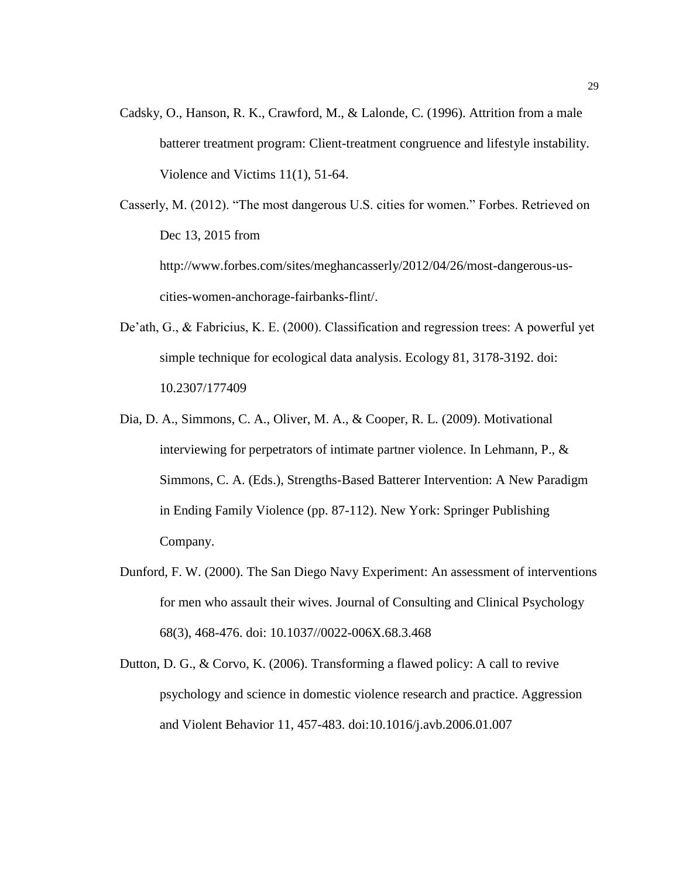Cadsky, O., Hanson, R. K., Crawford, M., & Lalonde, C. (1996). Attrition from a male batterer treatment program: Client-treatment congruence and lifestyle instability. Violence and Victims 11(1), 51-64.

Casserly, M. (2012). "The most dangerous U.S. cities for women." Forbes. Retrieved on Dec 13, 2015 from http://www.forbes.com/sites/meghancasserly/2012/04/26/most-dangerous-uscities-women-anchorage-fairbanks-flint/.

- De'ath, G., & Fabricius, K. E. (2000). Classification and regression trees: A powerful yet simple technique for ecological data analysis. Ecology 81, 3178-3192. doi: 10.2307/177409
- Dia, D. A., Simmons, C. A., Oliver, M. A., & Cooper, R. L. (2009). Motivational interviewing for perpetrators of intimate partner violence. In Lehmann, P., & Simmons, C. A. (Eds.), Strengths-Based Batterer Intervention: A New Paradigm in Ending Family Violence (pp. 87-112). New York: Springer Publishing Company.
- Dunford, F. W. (2000). The San Diego Navy Experiment: An assessment of interventions for men who assault their wives. Journal of Consulting and Clinical Psychology 68(3), 468-476. doi: 10.1037//0022-006X.68.3.468
- Dutton, D. G., & Corvo, K. (2006). Transforming a flawed policy: A call to revive psychology and science in domestic violence research and practice. Aggression and Violent Behavior 11, 457-483. doi:10.1016/j.avb.2006.01.007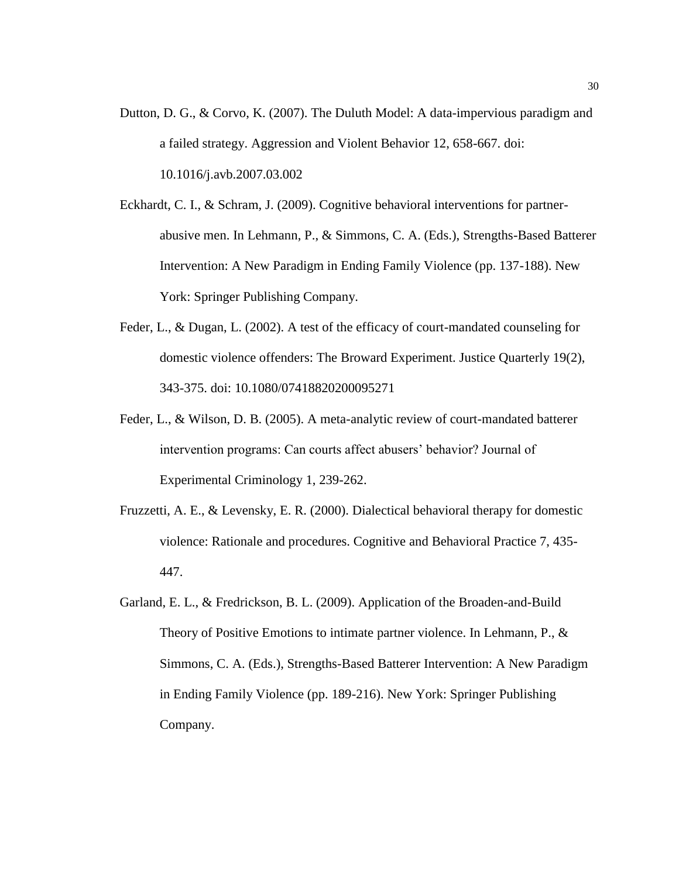- Dutton, D. G., & Corvo, K. (2007). The Duluth Model: A data-impervious paradigm and a failed strategy. Aggression and Violent Behavior 12, 658-667. doi: 10.1016/j.avb.2007.03.002
- Eckhardt, C. I., & Schram, J. (2009). Cognitive behavioral interventions for partnerabusive men. In Lehmann, P., & Simmons, C. A. (Eds.), Strengths-Based Batterer Intervention: A New Paradigm in Ending Family Violence (pp. 137-188). New York: Springer Publishing Company.
- Feder, L., & Dugan, L. (2002). A test of the efficacy of court-mandated counseling for domestic violence offenders: The Broward Experiment. Justice Quarterly 19(2), 343-375. doi: 10.1080/07418820200095271
- Feder, L., & Wilson, D. B. (2005). A meta-analytic review of court-mandated batterer intervention programs: Can courts affect abusers' behavior? Journal of Experimental Criminology 1, 239-262.
- Fruzzetti, A. E., & Levensky, E. R. (2000). Dialectical behavioral therapy for domestic violence: Rationale and procedures. Cognitive and Behavioral Practice 7, 435- 447.
- Garland, E. L., & Fredrickson, B. L. (2009). Application of the Broaden-and-Build Theory of Positive Emotions to intimate partner violence. In Lehmann, P., & Simmons, C. A. (Eds.), Strengths-Based Batterer Intervention: A New Paradigm in Ending Family Violence (pp. 189-216). New York: Springer Publishing Company.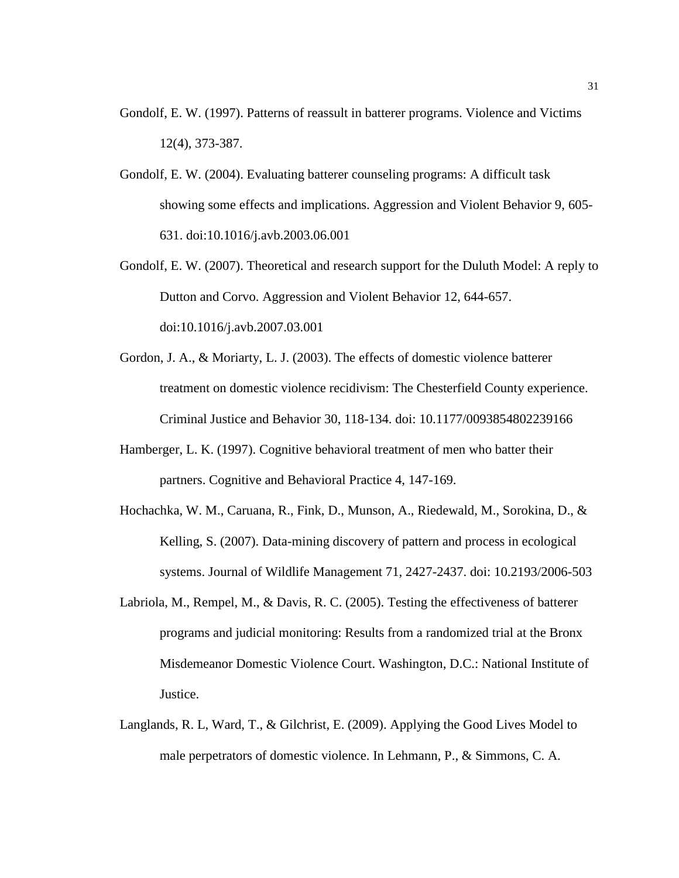- Gondolf, E. W. (1997). Patterns of reassult in batterer programs. Violence and Victims 12(4), 373-387.
- Gondolf, E. W. (2004). Evaluating batterer counseling programs: A difficult task showing some effects and implications. Aggression and Violent Behavior 9, 605- 631. doi:10.1016/j.avb.2003.06.001
- Gondolf, E. W. (2007). Theoretical and research support for the Duluth Model: A reply to Dutton and Corvo. Aggression and Violent Behavior 12, 644-657. doi:10.1016/j.avb.2007.03.001
- Gordon, J. A., & Moriarty, L. J. (2003). The effects of domestic violence batterer treatment on domestic violence recidivism: The Chesterfield County experience. Criminal Justice and Behavior 30, 118-134. doi: 10.1177/0093854802239166
- Hamberger, L. K. (1997). Cognitive behavioral treatment of men who batter their partners. Cognitive and Behavioral Practice 4, 147-169.
- Hochachka, W. M., Caruana, R., Fink, D., Munson, A., Riedewald, M., Sorokina, D., & Kelling, S. (2007). Data-mining discovery of pattern and process in ecological systems. Journal of Wildlife Management 71, 2427-2437. doi: 10.2193/2006-503
- Labriola, M., Rempel, M., & Davis, R. C. (2005). Testing the effectiveness of batterer programs and judicial monitoring: Results from a randomized trial at the Bronx Misdemeanor Domestic Violence Court. Washington, D.C.: National Institute of Justice.
- Langlands, R. L, Ward, T., & Gilchrist, E. (2009). Applying the Good Lives Model to male perpetrators of domestic violence. In Lehmann, P., & Simmons, C. A.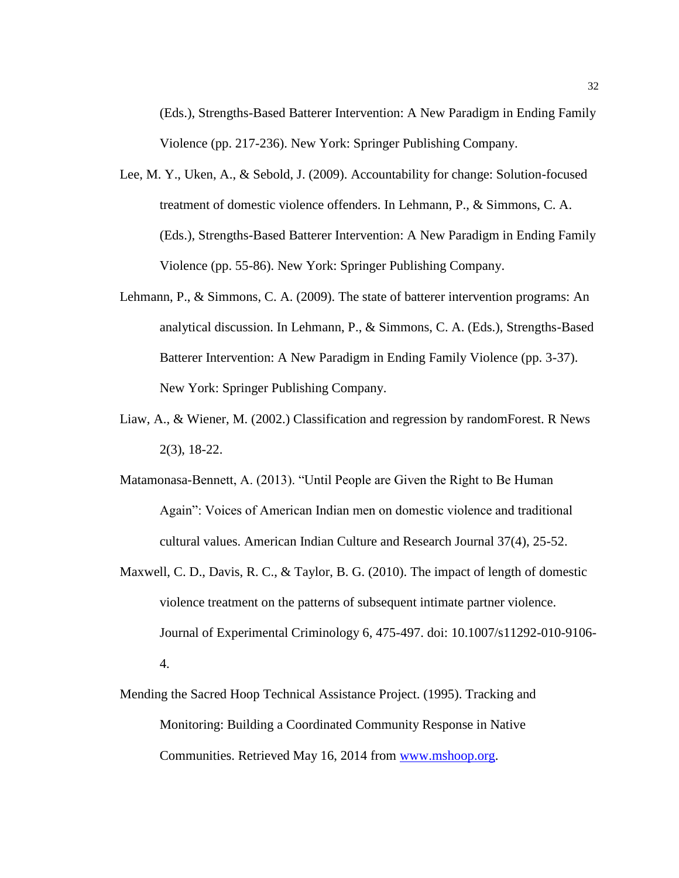(Eds.), Strengths-Based Batterer Intervention: A New Paradigm in Ending Family Violence (pp. 217-236). New York: Springer Publishing Company.

- Lee, M. Y., Uken, A., & Sebold, J. (2009). Accountability for change: Solution-focused treatment of domestic violence offenders. In Lehmann, P., & Simmons, C. A. (Eds.), Strengths-Based Batterer Intervention: A New Paradigm in Ending Family Violence (pp. 55-86). New York: Springer Publishing Company.
- Lehmann, P., & Simmons, C. A. (2009). The state of batterer intervention programs: An analytical discussion. In Lehmann, P., & Simmons, C. A. (Eds.), Strengths-Based Batterer Intervention: A New Paradigm in Ending Family Violence (pp. 3-37). New York: Springer Publishing Company.
- Liaw, A., & Wiener, M. (2002.) Classification and regression by randomForest. R News 2(3), 18-22.
- Matamonasa-Bennett, A. (2013). "Until People are Given the Right to Be Human Again": Voices of American Indian men on domestic violence and traditional cultural values. American Indian Culture and Research Journal 37(4), 25-52.
- Maxwell, C. D., Davis, R. C., & Taylor, B. G. (2010). The impact of length of domestic violence treatment on the patterns of subsequent intimate partner violence. Journal of Experimental Criminology 6, 475-497. doi: 10.1007/s11292-010-9106- 4.
- Mending the Sacred Hoop Technical Assistance Project. (1995). Tracking and Monitoring: Building a Coordinated Community Response in Native Communities. Retrieved May 16, 2014 from [www.mshoop.org.](http://www.mshoop.org/)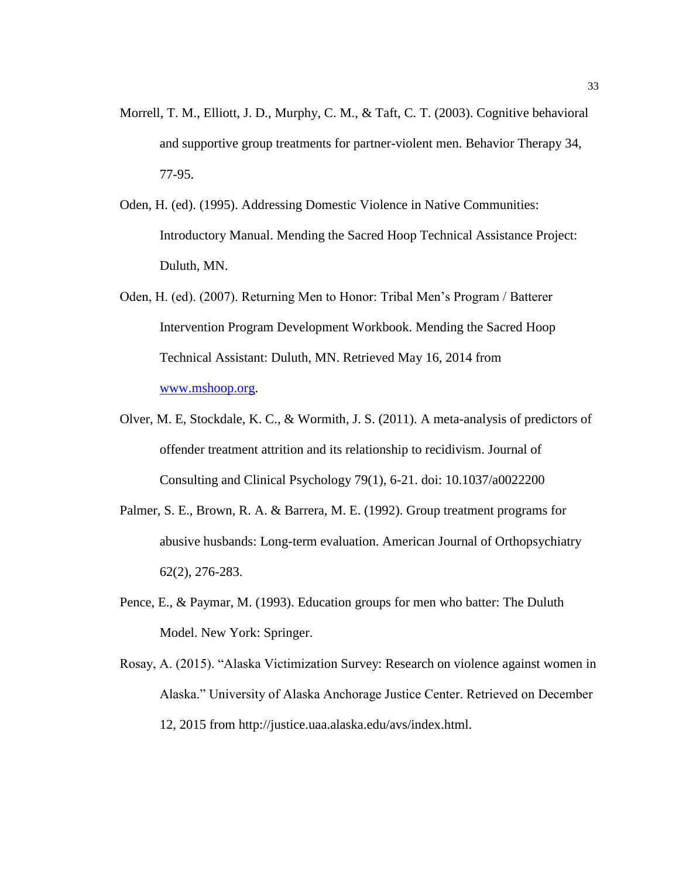- Morrell, T. M., Elliott, J. D., Murphy, C. M., & Taft, C. T. (2003). Cognitive behavioral and supportive group treatments for partner-violent men. Behavior Therapy 34, 77-95.
- Oden, H. (ed). (1995). Addressing Domestic Violence in Native Communities: Introductory Manual. Mending the Sacred Hoop Technical Assistance Project: Duluth, MN.
- Oden, H. (ed). (2007). Returning Men to Honor: Tribal Men's Program / Batterer Intervention Program Development Workbook. Mending the Sacred Hoop Technical Assistant: Duluth, MN. Retrieved May 16, 2014 from [www.mshoop.org.](http://www.mshoop.org/)
- Olver, M. E, Stockdale, K. C., & Wormith, J. S. (2011). A meta-analysis of predictors of offender treatment attrition and its relationship to recidivism. Journal of Consulting and Clinical Psychology 79(1), 6-21. doi: 10.1037/a0022200
- Palmer, S. E., Brown, R. A. & Barrera, M. E. (1992). Group treatment programs for abusive husbands: Long-term evaluation. American Journal of Orthopsychiatry 62(2), 276-283.
- Pence, E., & Paymar, M. (1993). Education groups for men who batter: The Duluth Model. New York: Springer.
- Rosay, A. (2015). "Alaska Victimization Survey: Research on violence against women in Alaska." University of Alaska Anchorage Justice Center. Retrieved on December 12, 2015 from http://justice.uaa.alaska.edu/avs/index.html.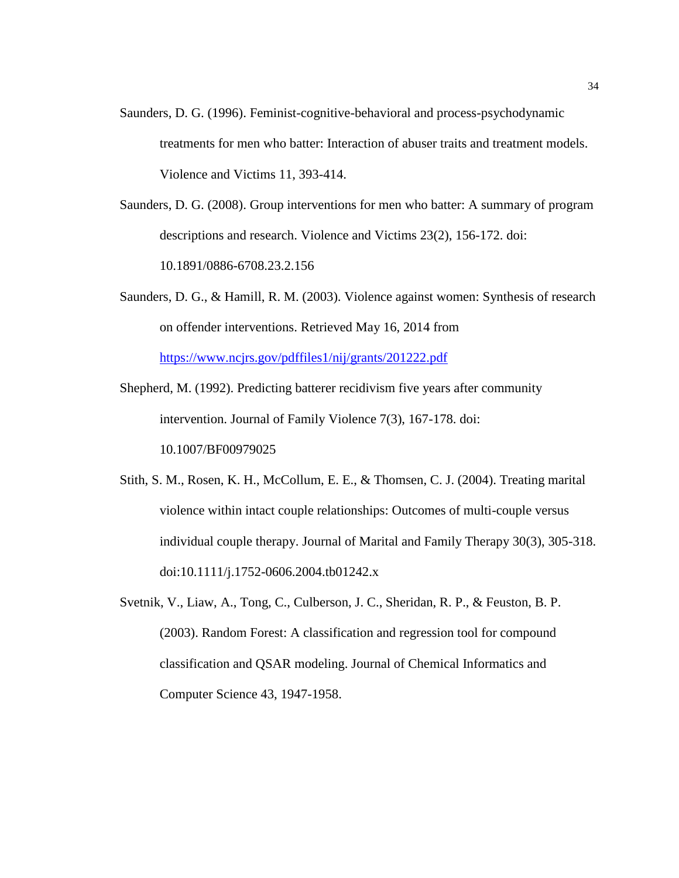- Saunders, D. G. (1996). Feminist-cognitive-behavioral and process-psychodynamic treatments for men who batter: Interaction of abuser traits and treatment models. Violence and Victims 11, 393-414.
- Saunders, D. G. (2008). Group interventions for men who batter: A summary of program descriptions and research. Violence and Victims 23(2), 156-172. doi: 10.1891/0886-6708.23.2.156
- Saunders, D. G., & Hamill, R. M. (2003). Violence against women: Synthesis of research on offender interventions. Retrieved May 16, 2014 from <https://www.ncjrs.gov/pdffiles1/nij/grants/201222.pdf>
- Shepherd, M. (1992). Predicting batterer recidivism five years after community intervention. Journal of Family Violence 7(3), 167-178. doi: 10.1007/BF00979025
- Stith, S. M., Rosen, K. H., McCollum, E. E., & Thomsen, C. J. (2004). Treating marital violence within intact couple relationships: Outcomes of multi-couple versus individual couple therapy. Journal of Marital and Family Therapy 30(3), 305-318. doi:10.1111/j.1752-0606.2004.tb01242.x
- Svetnik, V., Liaw, A., Tong, C., Culberson, J. C., Sheridan, R. P., & Feuston, B. P. (2003). Random Forest: A classification and regression tool for compound classification and QSAR modeling. Journal of Chemical Informatics and Computer Science 43, 1947-1958.